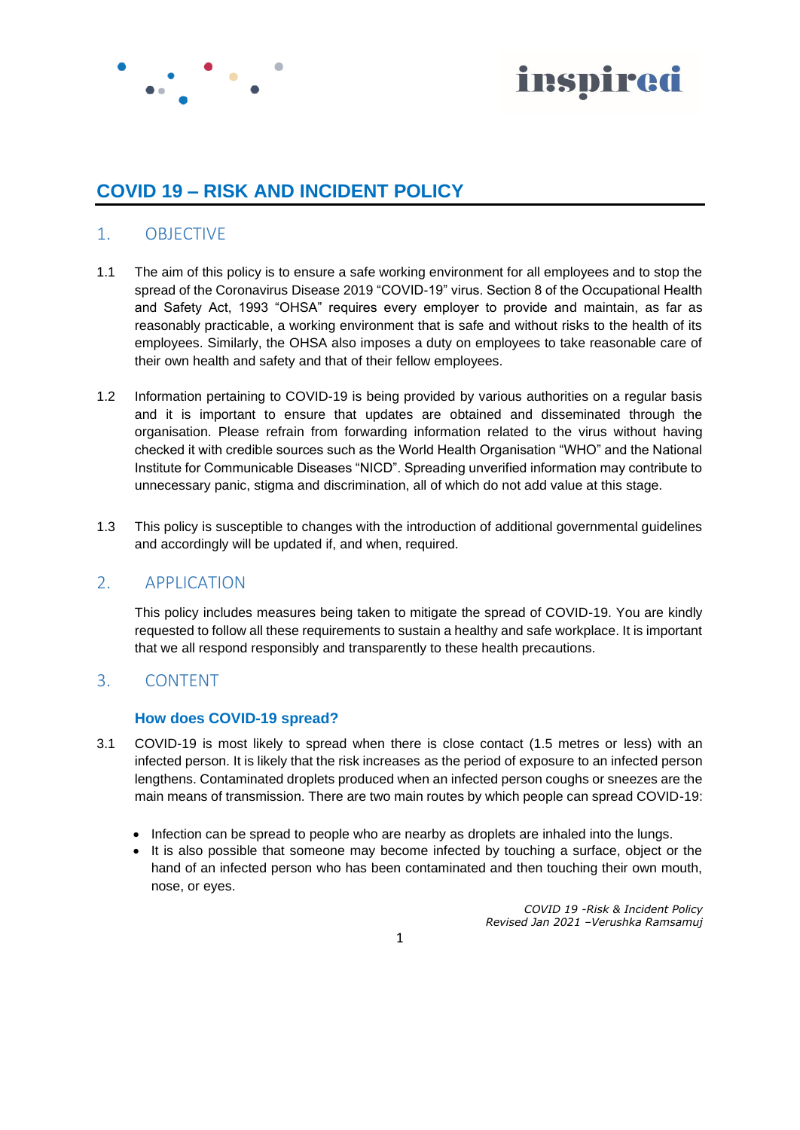



## **COVID 19 – RISK AND INCIDENT POLICY**

## 1. OBJECTIVE

- 1.1 The aim of this policy is to ensure a safe working environment for all employees and to stop the spread of the Coronavirus Disease 2019 "COVID-19" virus. Section 8 of the Occupational Health and Safety Act, 1993 "OHSA" requires every employer to provide and maintain, as far as reasonably practicable, a working environment that is safe and without risks to the health of its employees. Similarly, the OHSA also imposes a duty on employees to take reasonable care of their own health and safety and that of their fellow employees.
- 1.2 Information pertaining to COVID-19 is being provided by various authorities on a regular basis and it is important to ensure that updates are obtained and disseminated through the organisation. Please refrain from forwarding information related to the virus without having checked it with credible sources such as the World Health Organisation "WHO" and the National Institute for Communicable Diseases "NICD". Spreading unverified information may contribute to unnecessary panic, stigma and discrimination, all of which do not add value at this stage.
- 1.3 This policy is susceptible to changes with the introduction of additional governmental guidelines and accordingly will be updated if, and when, required.

## 2. APPLICATION

This policy includes measures being taken to mitigate the spread of COVID-19. You are kindly requested to follow all these requirements to sustain a healthy and safe workplace. It is important that we all respond responsibly and transparently to these health precautions.

## 3. CONTENT

#### **How does COVID-19 spread?**

- 3.1 COVID-19 is most likely to spread when there is close contact (1.5 metres or less) with an infected person. It is likely that the risk increases as the period of exposure to an infected person lengthens. Contaminated droplets produced when an infected person coughs or sneezes are the main means of transmission. There are two main routes by which people can spread COVID-19:
	- Infection can be spread to people who are nearby as droplets are inhaled into the lungs.
	- It is also possible that someone may become infected by touching a surface, object or the hand of an infected person who has been contaminated and then touching their own mouth, nose, or eyes.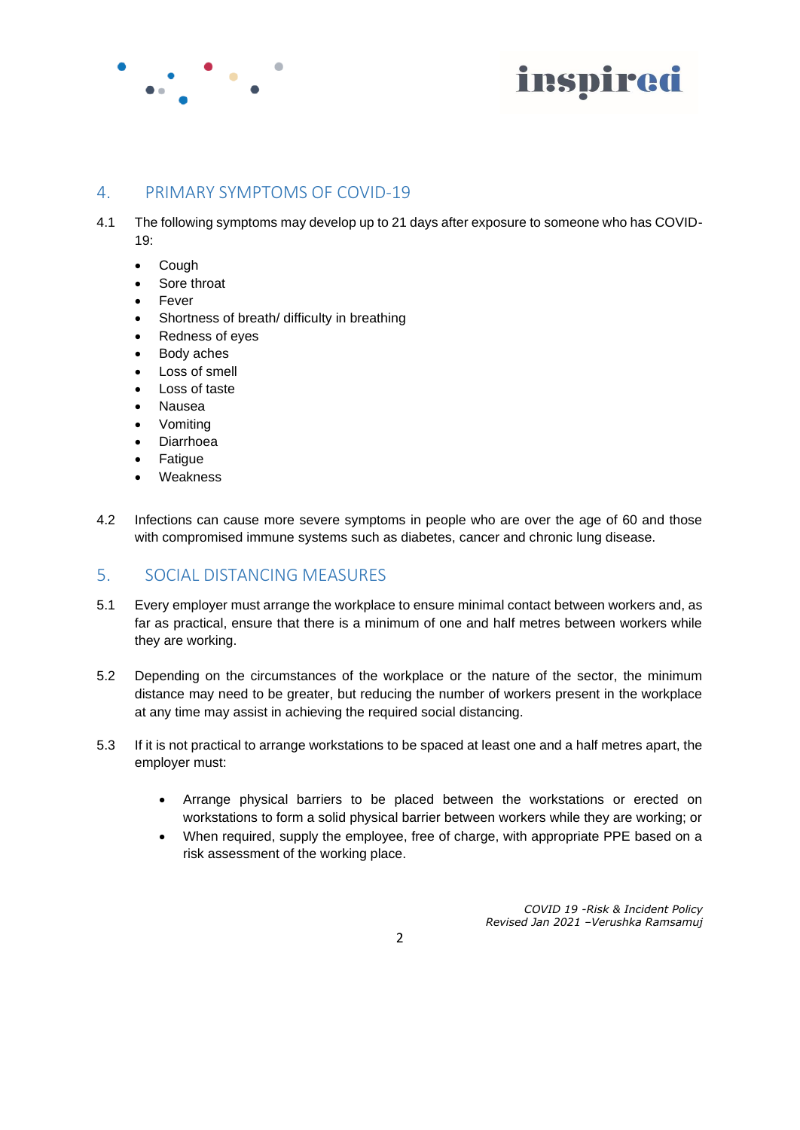



## 4. PRIMARY SYMPTOMS OF COVID-19

- 4.1 The following symptoms may develop up to 21 days after exposure to someone who has COVID-19:
	- Cough
	- Sore throat
	- **Fever**
	- Shortness of breath/ difficulty in breathing
	- Redness of eyes
	- Body aches
	- Loss of smell
	- Loss of taste
	- Nausea
	- Vomiting
	- Diarrhoea
	- **Fatigue**
	- **Weakness**
- 4.2 Infections can cause more severe symptoms in people who are over the age of 60 and those with compromised immune systems such as diabetes, cancer and chronic lung disease.

## 5. SOCIAL DISTANCING MEASURES

- 5.1 Every employer must arrange the workplace to ensure minimal contact between workers and, as far as practical, ensure that there is a minimum of one and half metres between workers while they are working.
- 5.2 Depending on the circumstances of the workplace or the nature of the sector, the minimum distance may need to be greater, but reducing the number of workers present in the workplace at any time may assist in achieving the required social distancing.
- 5.3 If it is not practical to arrange workstations to be spaced at least one and a half metres apart, the employer must:
	- Arrange physical barriers to be placed between the workstations or erected on workstations to form a solid physical barrier between workers while they are working; or
	- When required, supply the employee, free of charge, with appropriate PPE based on a risk assessment of the working place.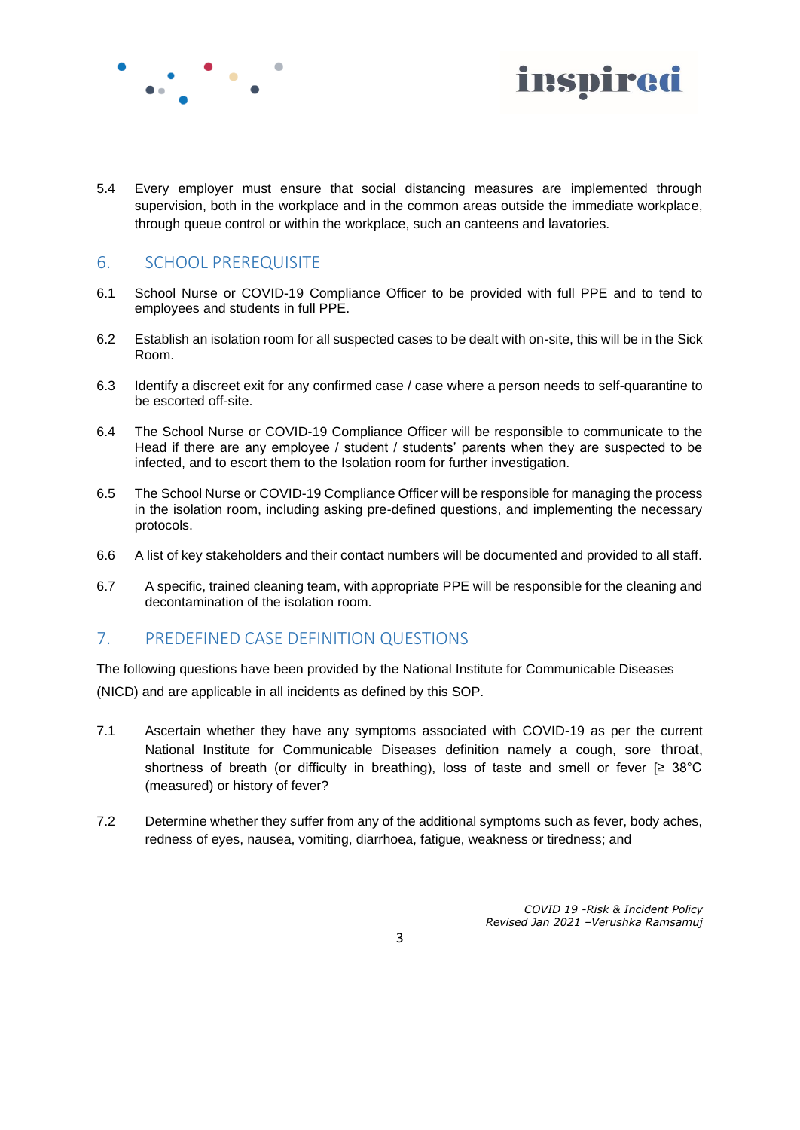



5.4 Every employer must ensure that social distancing measures are implemented through supervision, both in the workplace and in the common areas outside the immediate workplace, through queue control or within the workplace, such an canteens and lavatories.

## 6. SCHOOL PREREQUISITE

- 6.1 School Nurse or COVID-19 Compliance Officer to be provided with full PPE and to tend to employees and students in full PPE.
- 6.2 Establish an isolation room for all suspected cases to be dealt with on-site, this will be in the Sick Room.
- 6.3 Identify a discreet exit for any confirmed case / case where a person needs to self-quarantine to be escorted off-site.
- 6.4 The School Nurse or COVID-19 Compliance Officer will be responsible to communicate to the Head if there are any employee / student / students' parents when they are suspected to be infected, and to escort them to the Isolation room for further investigation.
- 6.5 The School Nurse or COVID-19 Compliance Officer will be responsible for managing the process in the isolation room, including asking pre-defined questions, and implementing the necessary protocols.
- 6.6 A list of key stakeholders and their contact numbers will be documented and provided to all staff.
- 6.7 A specific, trained cleaning team, with appropriate PPE will be responsible for the cleaning and decontamination of the isolation room.

## 7. PREDEFINED CASE DEFINITION QUESTIONS

The following questions have been provided by the National Institute for Communicable Diseases (NICD) and are applicable in all incidents as defined by this SOP.

- 7.1 Ascertain whether they have any symptoms associated with COVID-19 as per the current National Institute for Communicable Diseases definition namely a cough, sore throat, shortness of breath (or difficulty in breathing), loss of taste and smell or fever  $\geq 38^{\circ}$ C (measured) or history of fever?
- 7.2 Determine whether they suffer from any of the additional symptoms such as fever, body aches, redness of eyes, nausea, vomiting, diarrhoea, fatigue, weakness or tiredness; and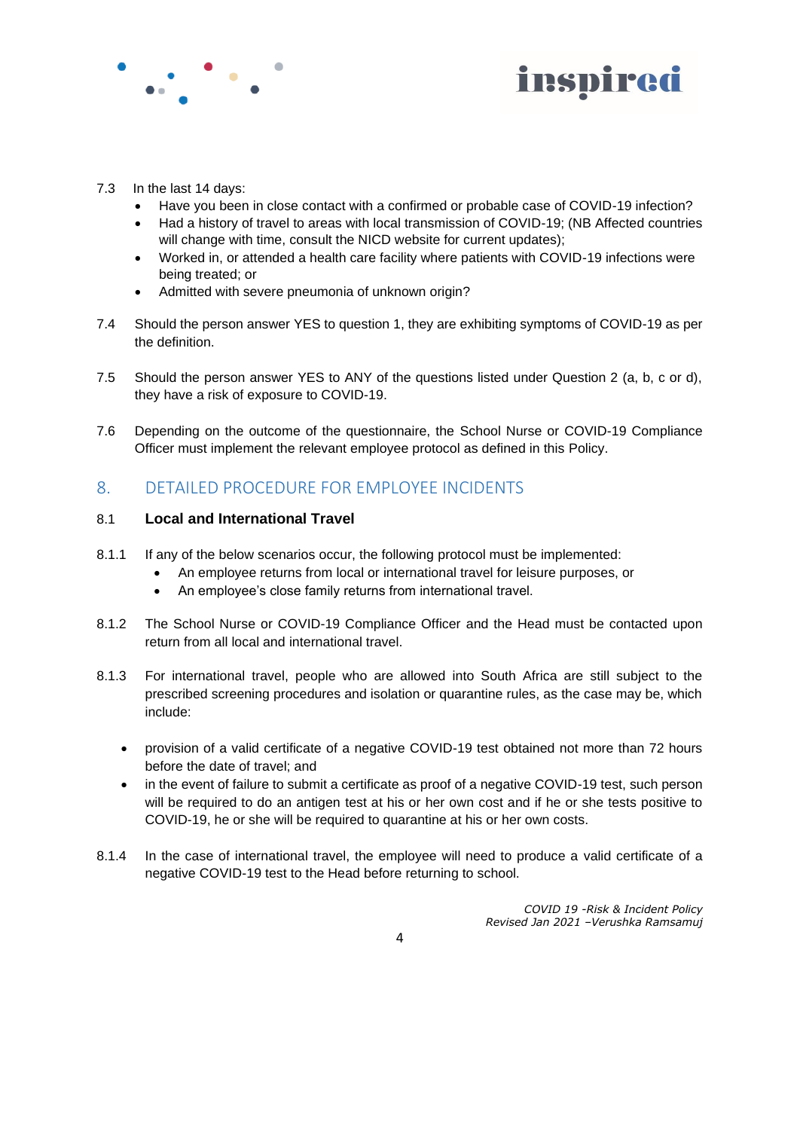



- 7.3 In the last 14 days:
	- Have you been in close contact with a confirmed or probable case of COVID-19 infection?
	- Had a history of travel to areas with local transmission of COVID-19; (NB Affected countries will change with time, consult the NICD website for current updates);
	- Worked in, or attended a health care facility where patients with COVID-19 infections were being treated; or
	- Admitted with severe pneumonia of unknown origin?
- 7.4 Should the person answer YES to question 1, they are exhibiting symptoms of COVID-19 as per the definition.
- 7.5 Should the person answer YES to ANY of the questions listed under Question 2 (a, b, c or d), they have a risk of exposure to COVID-19.
- 7.6 Depending on the outcome of the questionnaire, the School Nurse or COVID-19 Compliance Officer must implement the relevant employee protocol as defined in this Policy.

## 8. DETAILED PROCEDURE FOR EMPLOYEE INCIDENTS

#### 8.1 **Local and International Travel**

- 8.1.1 If any of the below scenarios occur, the following protocol must be implemented:
	- An employee returns from local or international travel for leisure purposes, or
	- An employee's close family returns from international travel.
- 8.1.2 The School Nurse or COVID-19 Compliance Officer and the Head must be contacted upon return from all local and international travel.
- 8.1.3 For international travel, people who are allowed into South Africa are still subject to the prescribed screening procedures and isolation or quarantine rules, as the case may be, which include:
	- provision of a valid certificate of a negative COVID-19 test obtained not more than 72 hours before the date of travel; and
	- in the event of failure to submit a certificate as proof of a negative COVID-19 test, such person will be required to do an antigen test at his or her own cost and if he or she tests positive to COVID-19, he or she will be required to quarantine at his or her own costs.
- 8.1.4 In the case of international travel, the employee will need to produce a valid certificate of a negative COVID-19 test to the Head before returning to school.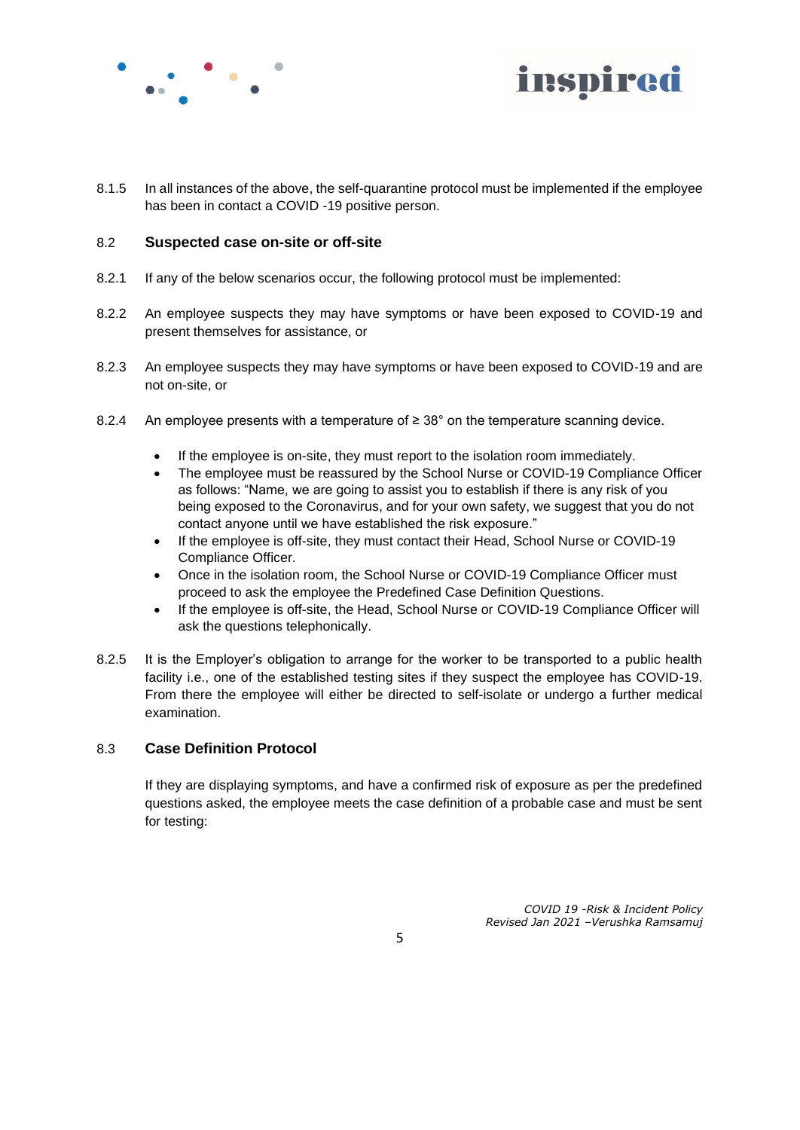



8.1.5 In all instances of the above, the self-quarantine protocol must be implemented if the employee has been in contact a COVID -19 positive person.

#### 8.2 **Suspected case on-site or off-site**

- 8.2.1 If any of the below scenarios occur, the following protocol must be implemented:
- 8.2.2 An employee suspects they may have symptoms or have been exposed to COVID-19 and present themselves for assistance, or
- 8.2.3 An employee suspects they may have symptoms or have been exposed to COVID-19 and are not on-site, or
- 8.2.4 An employee presents with a temperature of  $\geq 38^{\circ}$  on the temperature scanning device.
	- If the employee is on-site, they must report to the isolation room immediately.
	- The employee must be reassured by the School Nurse or COVID-19 Compliance Officer as follows: "Name, we are going to assist you to establish if there is any risk of you being exposed to the Coronavirus, and for your own safety, we suggest that you do not contact anyone until we have established the risk exposure."
	- If the employee is off-site, they must contact their Head, School Nurse or COVID-19 Compliance Officer.
	- Once in the isolation room, the School Nurse or COVID-19 Compliance Officer must proceed to ask the employee the Predefined Case Definition Questions.
	- If the employee is off-site, the Head, School Nurse or COVID-19 Compliance Officer will ask the questions telephonically.
- 8.2.5 It is the Employer's obligation to arrange for the worker to be transported to a public health facility i.e., one of the established testing sites if they suspect the employee has COVID-19. From there the employee will either be directed to self-isolate or undergo a further medical examination.

#### 8.3 **Case Definition Protocol**

If they are displaying symptoms, and have a confirmed risk of exposure as per the predefined questions asked, the employee meets the case definition of a probable case and must be sent for testing: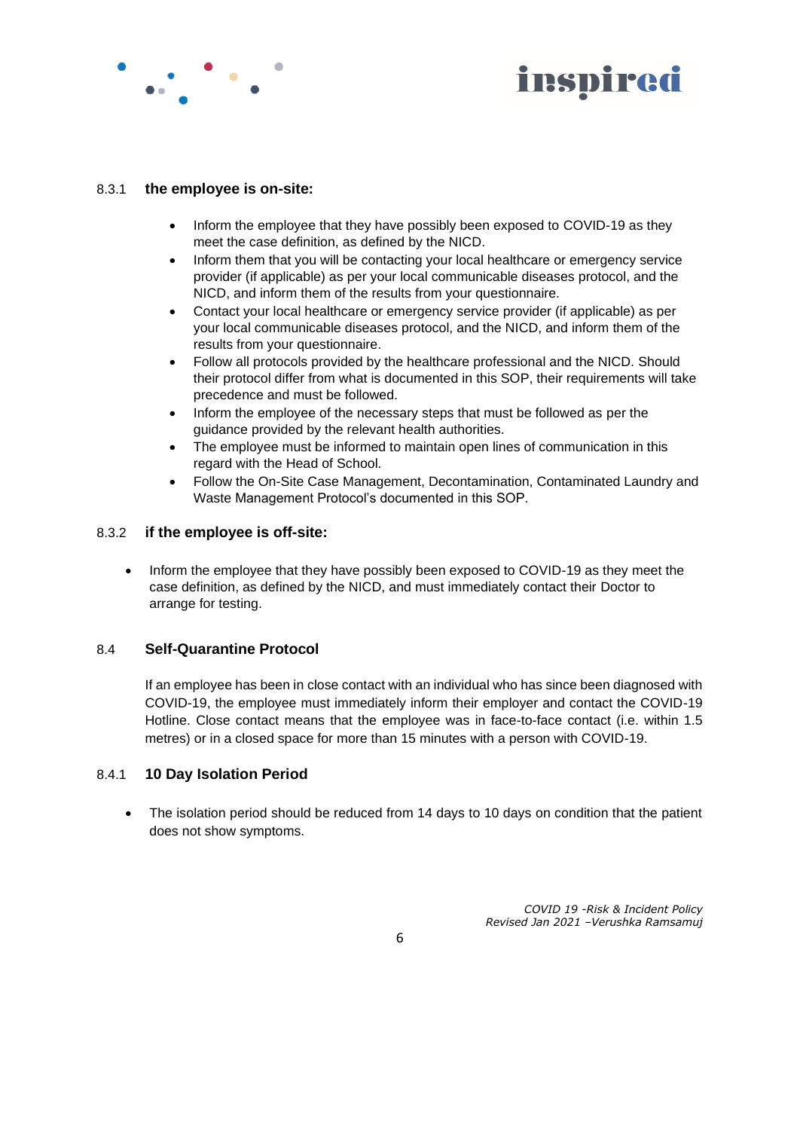

# inspired

#### 8.3.1 **the employee is on-site:**

- Inform the employee that they have possibly been exposed to COVID-19 as they meet the case definition, as defined by the NICD.
- Inform them that you will be contacting your local healthcare or emergency service provider (if applicable) as per your local communicable diseases protocol, and the NICD, and inform them of the results from your questionnaire.
- Contact your local healthcare or emergency service provider (if applicable) as per your local communicable diseases protocol, and the NICD, and inform them of the results from your questionnaire.
- Follow all protocols provided by the healthcare professional and the NICD. Should their protocol differ from what is documented in this SOP, their requirements will take precedence and must be followed.
- Inform the employee of the necessary steps that must be followed as per the guidance provided by the relevant health authorities.
- The employee must be informed to maintain open lines of communication in this regard with the Head of School.
- Follow the On-Site Case Management, Decontamination, Contaminated Laundry and Waste Management Protocol's documented in this SOP.

#### 8.3.2 **if the employee is off-site:**

• Inform the employee that they have possibly been exposed to COVID-19 as they meet the case definition, as defined by the NICD, and must immediately contact their Doctor to arrange for testing.

## 8.4 **Self-Quarantine Protocol**

If an employee has been in close contact with an individual who has since been diagnosed with COVID-19, the employee must immediately inform their employer and contact the COVID-19 Hotline. Close contact means that the employee was in face-to-face contact (i.e. within 1.5 metres) or in a closed space for more than 15 minutes with a person with COVID-19.

#### 8.4.1 **10 Day Isolation Period**

The isolation period should be reduced from 14 days to 10 days on condition that the patient does not show symptoms.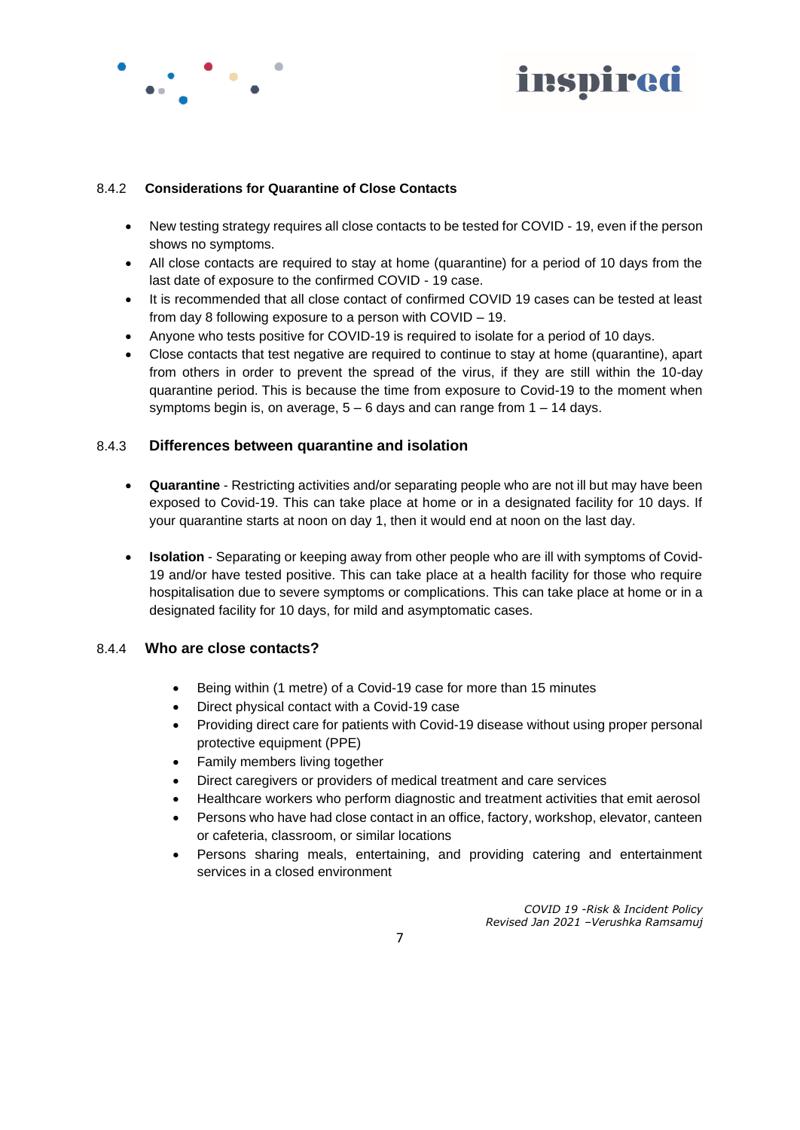



#### 8.4.2 **Considerations for Quarantine of Close Contacts**

- New testing strategy requires all close contacts to be tested for COVID 19, even if the person shows no symptoms.
- All close contacts are required to stay at home (quarantine) for a period of 10 days from the last date of exposure to the confirmed COVID - 19 case.
- It is recommended that all close contact of confirmed COVID 19 cases can be tested at least from day 8 following exposure to a person with COVID – 19.
- Anyone who tests positive for COVID-19 is required to isolate for a period of 10 days.
- Close contacts that test negative are required to continue to stay at home (quarantine), apart from others in order to prevent the spread of the virus, if they are still within the 10-day quarantine period. This is because the time from exposure to Covid-19 to the moment when symptoms begin is, on average,  $5 - 6$  days and can range from  $1 - 14$  days.

#### 8.4.3 **Differences between quarantine and isolation**

- **Quarantine** Restricting activities and/or separating people who are not ill but may have been exposed to Covid-19. This can take place at home or in a designated facility for 10 days. If your quarantine starts at noon on day 1, then it would end at noon on the last day.
- **Isolation** Separating or keeping away from other people who are ill with symptoms of Covid-19 and/or have tested positive. This can take place at a health facility for those who require hospitalisation due to severe symptoms or complications. This can take place at home or in a designated facility for 10 days, for mild and asymptomatic cases.

#### 8.4.4 **Who are close contacts?**

- Being within (1 metre) of a Covid-19 case for more than 15 minutes
- Direct physical contact with a Covid-19 case
- Providing direct care for patients with Covid-19 disease without using proper personal protective equipment (PPE)
- Family members living together
- Direct caregivers or providers of medical treatment and care services
- Healthcare workers who perform diagnostic and treatment activities that emit aerosol
- Persons who have had close contact in an office, factory, workshop, elevator, canteen or cafeteria, classroom, or similar locations
- Persons sharing meals, entertaining, and providing catering and entertainment services in a closed environment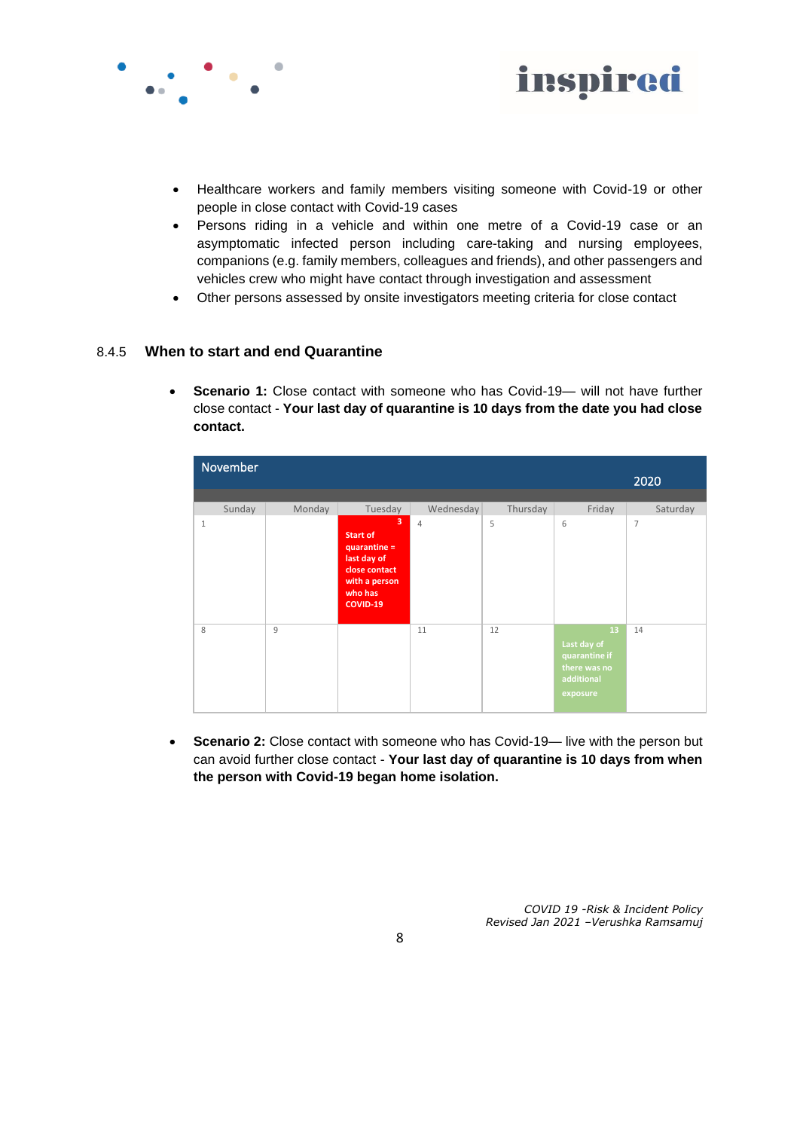



- Healthcare workers and family members visiting someone with Covid-19 or other people in close contact with Covid-19 cases
- Persons riding in a vehicle and within one metre of a Covid-19 case or an asymptomatic infected person including care-taking and nursing employees, companions (e.g. family members, colleagues and friends), and other passengers and vehicles crew who might have contact through investigation and assessment
- Other persons assessed by onsite investigators meeting criteria for close contact

#### 8.4.5 **When to start and end Quarantine**

**Scenario 1:** Close contact with someone who has Covid-19— will not have further close contact - **Your last day of quarantine is 10 days from the date you had close contact.**

|              | November |        |                                                                                                              |                |          |                                                                              | 2020           |
|--------------|----------|--------|--------------------------------------------------------------------------------------------------------------|----------------|----------|------------------------------------------------------------------------------|----------------|
|              | Sunday   | Monday | Tuesday                                                                                                      | Wednesday      | Thursday | Friday                                                                       | Saturday       |
| $\mathbf{1}$ |          |        | 3<br>Start of<br>quarantine =<br>last day of<br>close contact<br>with a person<br>who has<br><b>COVID-19</b> | $\overline{4}$ | 5        | 6                                                                            | $\overline{7}$ |
| 8            |          | 9      |                                                                                                              | 11             | 12       | 13<br>Last day of<br>quarantine if<br>there was no<br>additional<br>exposure | 14             |

• **Scenario 2:** Close contact with someone who has Covid-19— live with the person but can avoid further close contact - **Your last day of quarantine is 10 days from when the person with Covid-19 began home isolation.**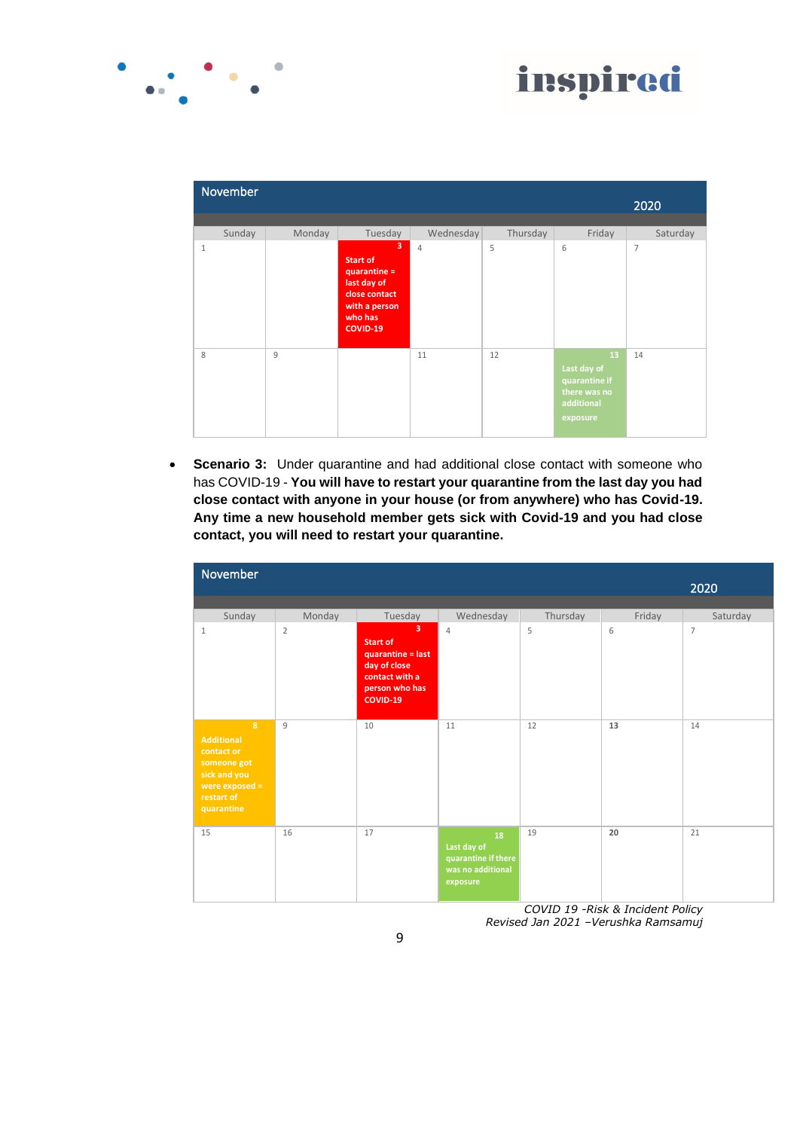

|              | November |        |                                                                                                                           |           |          |                                                                              | 2020           |
|--------------|----------|--------|---------------------------------------------------------------------------------------------------------------------------|-----------|----------|------------------------------------------------------------------------------|----------------|
|              | Sunday   | Monday | Tuesday                                                                                                                   | Wednesday | Thursday | Friday                                                                       | Saturday       |
| $\mathbf{1}$ |          |        | $\overline{3}$<br>Start of<br>quarantine =<br>last day of<br>close contact<br>with a person<br>who has<br><b>COVID-19</b> | 4         | 5        | 6                                                                            | $\overline{7}$ |
| 8            |          | 9      |                                                                                                                           | 11        | 12       | 13<br>Last day of<br>quarantine if<br>there was no<br>additional<br>exposure | 14             |

 $\bullet$ 

• **Scenario 3:** Under quarantine and had additional close contact with someone who has COVID-19 - **You will have to restart your quarantine from the last day you had close contact with anyone in your house (or from anywhere) who has Covid-19. Any time a new household member gets sick with Covid-19 and you had close contact, you will need to restart your quarantine.**

| November                                                                                                                         |                          |                                                                                                                                          |                                                                           |               |             | 2020                       |
|----------------------------------------------------------------------------------------------------------------------------------|--------------------------|------------------------------------------------------------------------------------------------------------------------------------------|---------------------------------------------------------------------------|---------------|-------------|----------------------------|
| Sunday<br>$\mathbf{1}$                                                                                                           | Monday<br>$\overline{2}$ | Tuesday<br>$\overline{3}$<br><b>Start of</b><br>quarantine = last<br>day of close<br>contact with a<br>person who has<br><b>COVID-19</b> | Wednesday<br>$\overline{4}$                                               | Thursday<br>5 | Friday<br>6 | Saturday<br>$\overline{7}$ |
| $\overline{8}$<br><b>Additional</b><br>contact or<br>someone got<br>sick and you<br>were exposed $=$<br>restart of<br>quarantine | $\overline{9}$           | 10                                                                                                                                       | 11                                                                        | 12            | 13          | 14                         |
| 15                                                                                                                               | 16                       | 17                                                                                                                                       | 18<br>Last day of<br>quarantine if there<br>was no additional<br>exposure | 19            | 20          | 21                         |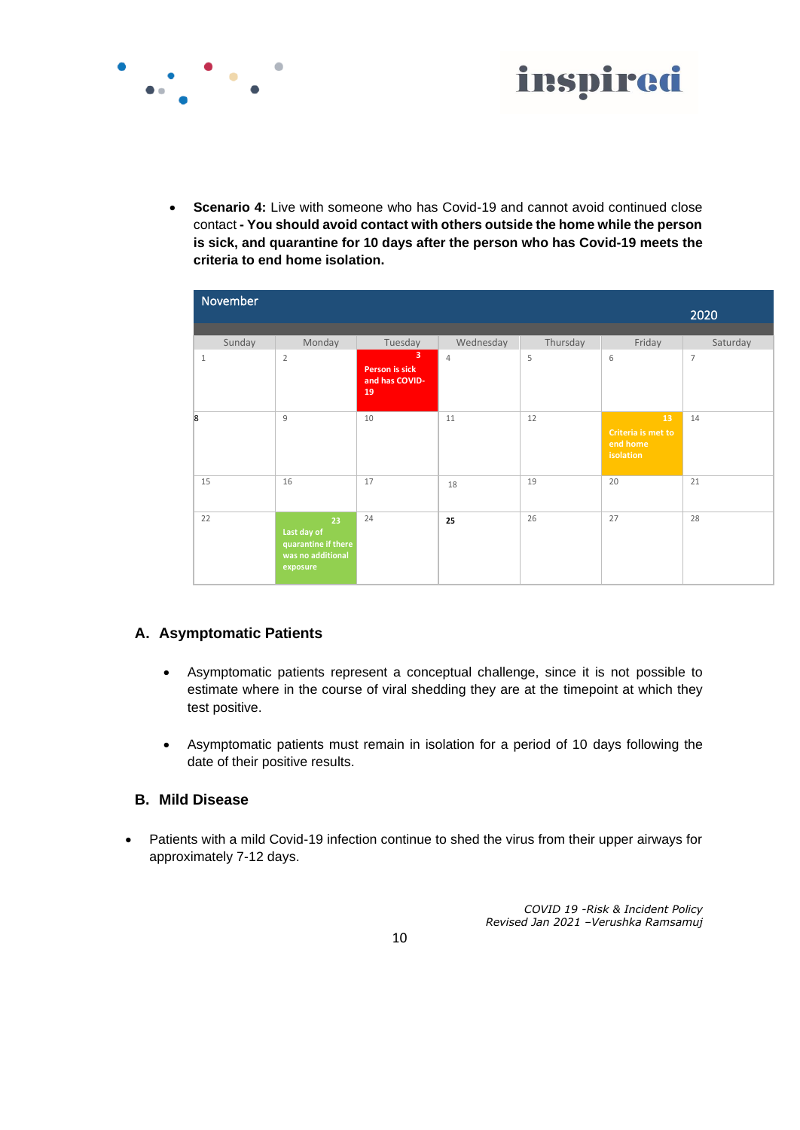



**Scenario 4:** Live with someone who has Covid-19 and cannot avoid continued close contact **- You should avoid contact with others outside the home while the person is sick, and quarantine for 10 days after the person who has Covid-19 meets the criteria to end home isolation.**

| November       |                                                                           |                                             |                |          |                                                   | 2020           |
|----------------|---------------------------------------------------------------------------|---------------------------------------------|----------------|----------|---------------------------------------------------|----------------|
| Sunday         | Monday                                                                    | Tuesday                                     | Wednesday      | Thursday | Friday                                            | Saturday       |
| $\mathbf{1}$   | $\overline{2}$                                                            | 3<br>Person is sick<br>and has COVID-<br>19 | $\overline{4}$ | 5        | 6                                                 | $\overline{7}$ |
| $\overline{8}$ | $\overline{9}$                                                            | 10                                          | 11             | 12       | 13<br>Criteria is met to<br>end home<br>isolation | 14             |
| 15             | 16                                                                        | 17                                          | 18             | 19       | 20                                                | 21             |
| 22             | 23<br>Last day of<br>quarantine if there<br>was no additional<br>exposure | 24                                          | 25             | 26       | 27                                                | 28             |

## **A. Asymptomatic Patients**

- Asymptomatic patients represent a conceptual challenge, since it is not possible to estimate where in the course of viral shedding they are at the timepoint at which they test positive.
- Asymptomatic patients must remain in isolation for a period of 10 days following the date of their positive results.

#### **B. Mild Disease**

• Patients with a mild Covid-19 infection continue to shed the virus from their upper airways for approximately 7-12 days.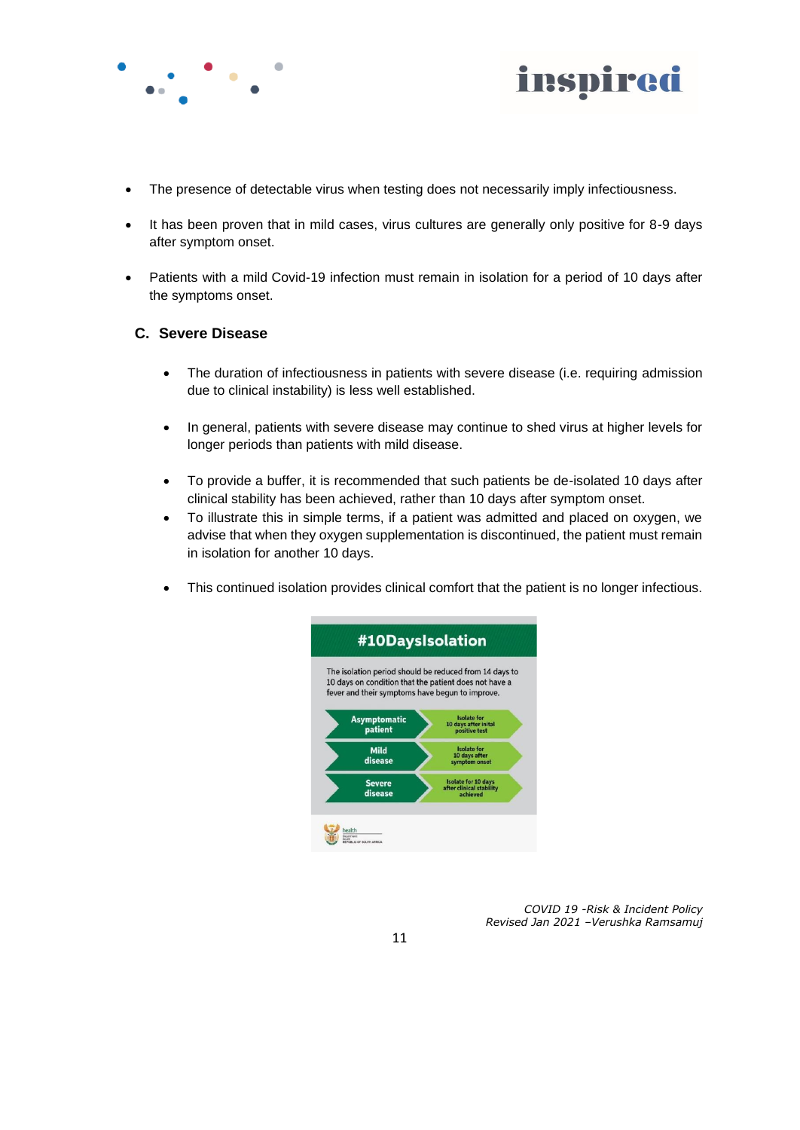



- The presence of detectable virus when testing does not necessarily imply infectiousness.
- It has been proven that in mild cases, virus cultures are generally only positive for 8-9 days after symptom onset.
- Patients with a mild Covid-19 infection must remain in isolation for a period of 10 days after the symptoms onset.

#### **C. Severe Disease**

- The duration of infectiousness in patients with severe disease (i.e. requiring admission due to clinical instability) is less well established.
- In general, patients with severe disease may continue to shed virus at higher levels for longer periods than patients with mild disease.
- To provide a buffer, it is recommended that such patients be de-isolated 10 days after clinical stability has been achieved, rather than 10 days after symptom onset.
- To illustrate this in simple terms, if a patient was admitted and placed on oxygen, we advise that when they oxygen supplementation is discontinued, the patient must remain in isolation for another 10 days.
- This continued isolation provides clinical comfort that the patient is no longer infectious.

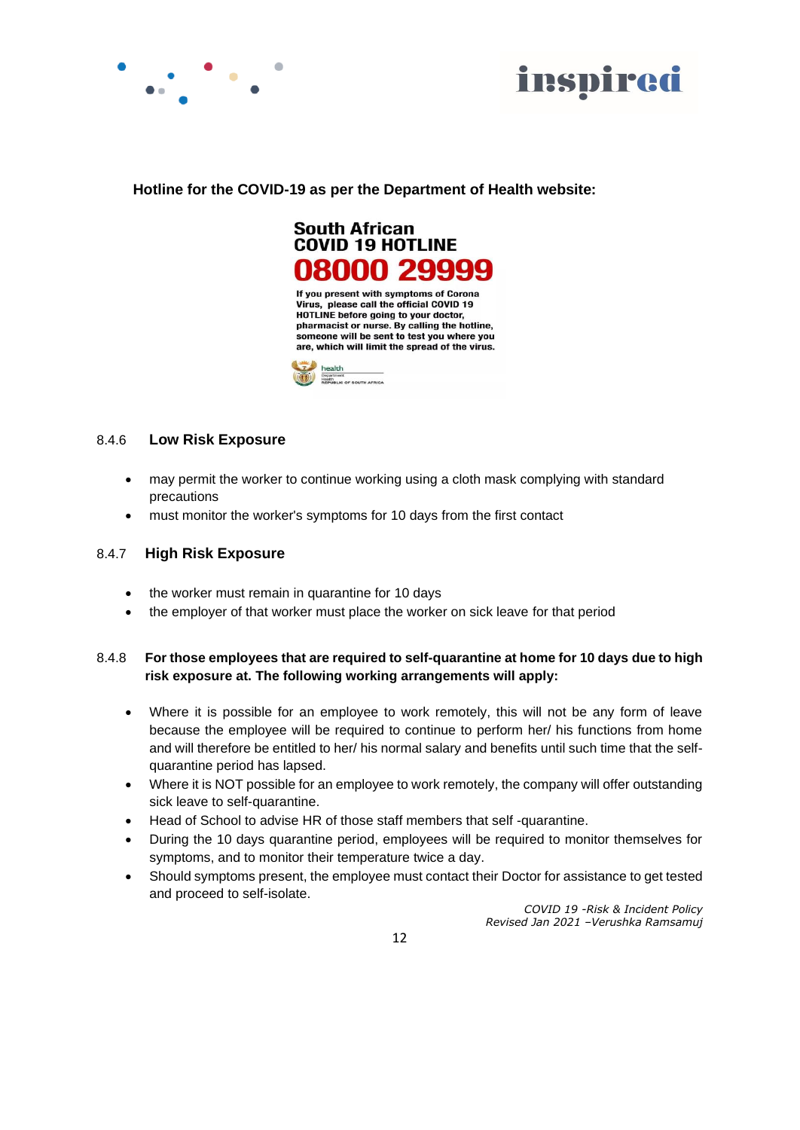



#### **Hotline for the COVID-19 as per the Department of Health website:**



#### 8.4.6 **Low Risk Exposure**

- may permit the worker to continue working using a cloth mask complying with standard precautions
- must monitor the worker's symptoms for 10 days from the first contact

#### 8.4.7 **High Risk Exposure**

- the worker must remain in quarantine for 10 days
- the employer of that worker must place the worker on sick leave for that period

#### 8.4.8 **For those employees that are required to self-quarantine at home for 10 days due to high risk exposure at. The following working arrangements will apply:**

- Where it is possible for an employee to work remotely, this will not be any form of leave because the employee will be required to continue to perform her/ his functions from home and will therefore be entitled to her/ his normal salary and benefits until such time that the selfquarantine period has lapsed.
- Where it is NOT possible for an employee to work remotely, the company will offer outstanding sick leave to self-quarantine.
- Head of School to advise HR of those staff members that self -quarantine.
- During the 10 days quarantine period, employees will be required to monitor themselves for symptoms, and to monitor their temperature twice a day.
- Should symptoms present, the employee must contact their Doctor for assistance to get tested and proceed to self-isolate.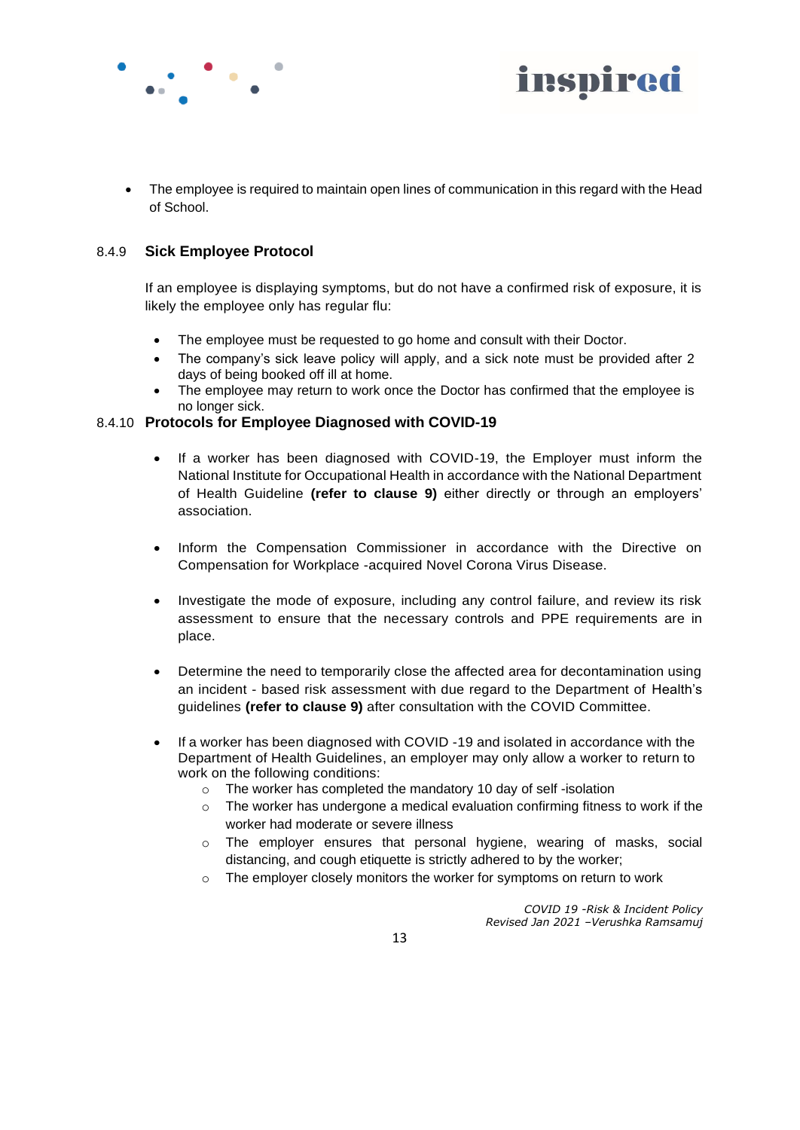



• The employee is required to maintain open lines of communication in this regard with the Head of School.

#### 8.4.9 **Sick Employee Protocol**

If an employee is displaying symptoms, but do not have a confirmed risk of exposure, it is likely the employee only has regular flu:

- The employee must be requested to go home and consult with their Doctor.
- The company's sick leave policy will apply, and a sick note must be provided after 2 days of being booked off ill at home.
- The employee may return to work once the Doctor has confirmed that the employee is no longer sick.

#### 8.4.10 **Protocols for Employee Diagnosed with COVID-19**

- If a worker has been diagnosed with COVID-19, the Employer must inform the National Institute for Occupational Health in accordance with the National Department of Health Guideline **(refer to clause 9)** either directly or through an employers' association.
- Inform the Compensation Commissioner in accordance with the Directive on Compensation for Workplace -acquired Novel Corona Virus Disease.
- Investigate the mode of exposure, including any control failure, and review its risk assessment to ensure that the necessary controls and PPE requirements are in place.
- Determine the need to temporarily close the affected area for decontamination using an incident - based risk assessment with due regard to the Department of Health's guidelines **(refer to clause 9)** after consultation with the COVID Committee.
- If a worker has been diagnosed with COVID -19 and isolated in accordance with the Department of Health Guidelines, an employer may only allow a worker to return to work on the following conditions:
	- o The worker has completed the mandatory 10 day of self -isolation
	- $\circ$  The worker has undergone a medical evaluation confirming fitness to work if the worker had moderate or severe illness
	- o The employer ensures that personal hygiene, wearing of masks, social distancing, and cough etiquette is strictly adhered to by the worker;
	- o The employer closely monitors the worker for symptoms on return to work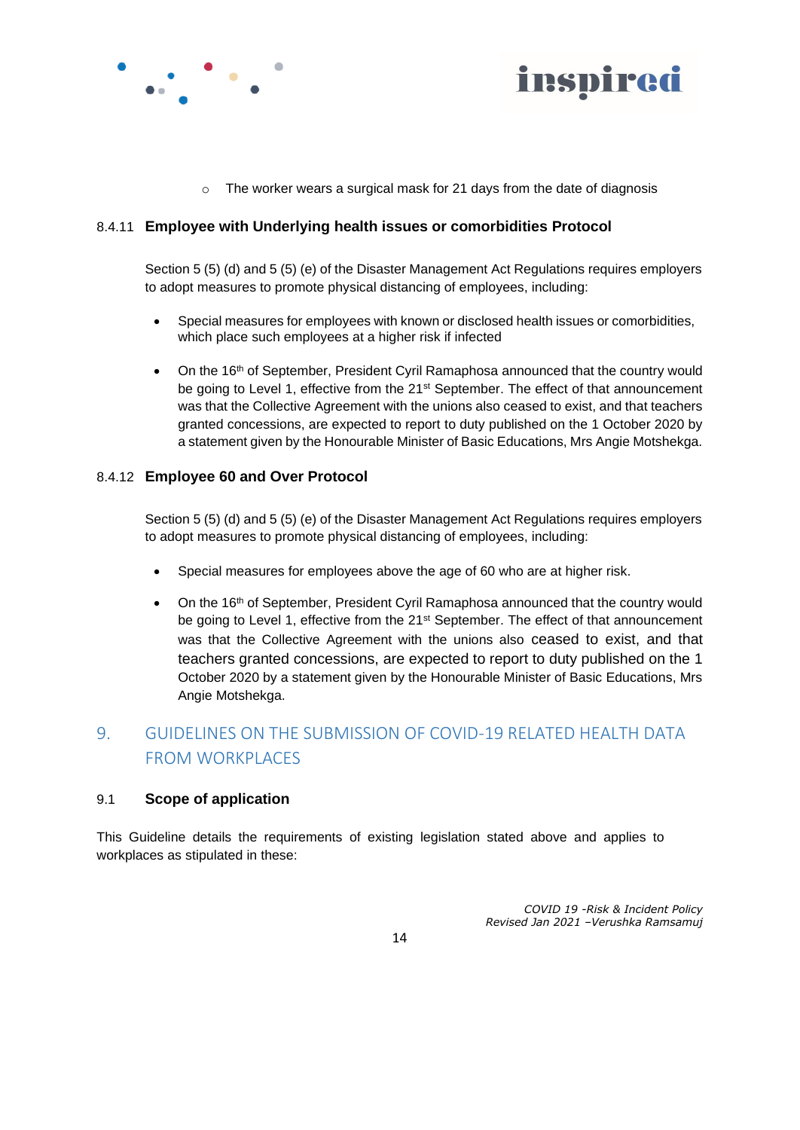



o The worker wears a surgical mask for 21 days from the date of diagnosis

#### 8.4.11 **Employee with Underlying health issues or comorbidities Protocol**

Section 5 (5) (d) and 5 (5) (e) of the Disaster Management Act Regulations requires employers to adopt measures to promote physical distancing of employees, including:

- Special measures for employees with known or disclosed health issues or comorbidities, which place such employees at a higher risk if infected
- On the 16<sup>th</sup> of September, President Cyril Ramaphosa announced that the country would be going to Level 1, effective from the 21<sup>st</sup> September. The effect of that announcement was that the Collective Agreement with the unions also ceased to exist, and that teachers granted concessions, are expected to report to duty published on the 1 October 2020 by a statement given by the Honourable Minister of Basic Educations, Mrs Angie Motshekga.

#### 8.4.12 **Employee 60 and Over Protocol**

Section 5 (5) (d) and 5 (5) (e) of the Disaster Management Act Regulations requires employers to adopt measures to promote physical distancing of employees, including:

- Special measures for employees above the age of 60 who are at higher risk.
- On the 16<sup>th</sup> of September, President Cyril Ramaphosa announced that the country would be going to Level 1, effective from the 21<sup>st</sup> September. The effect of that announcement was that the Collective Agreement with the unions also ceased to exist, and that teachers granted concessions, are expected to report to duty published on the 1 October 2020 by a statement given by the Honourable Minister of Basic Educations, Mrs Angie Motshekga.

# 9. GUIDELINES ON THE SUBMISSION OF COVID-19 RELATED HEALTH DATA FROM WORKPLACES

#### 9.1 **Scope of application**

This Guideline details the requirements of existing legislation stated above and applies to workplaces as stipulated in these: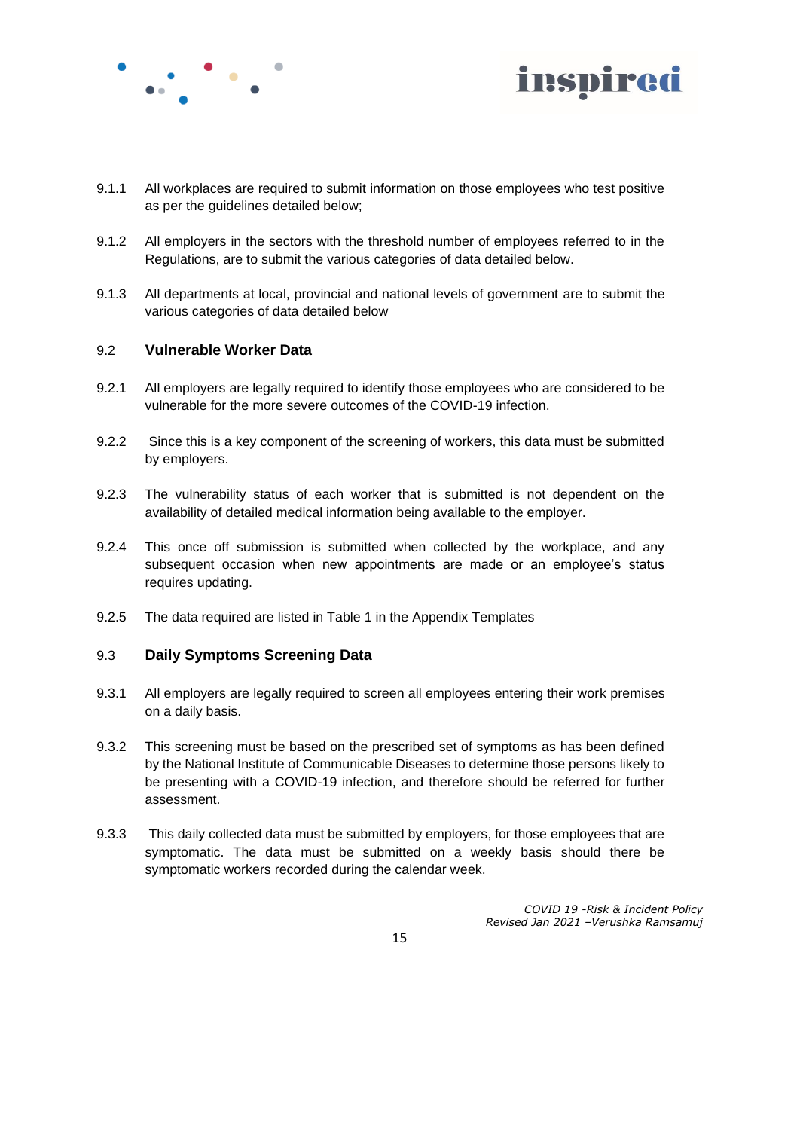



- 9.1.1 All workplaces are required to submit information on those employees who test positive as per the guidelines detailed below;
- 9.1.2 All employers in the sectors with the threshold number of employees referred to in the Regulations, are to submit the various categories of data detailed below.
- 9.1.3 All departments at local, provincial and national levels of government are to submit the various categories of data detailed below

#### 9.2 **Vulnerable Worker Data**

- 9.2.1 All employers are legally required to identify those employees who are considered to be vulnerable for the more severe outcomes of the COVID-19 infection.
- 9.2.2 Since this is a key component of the screening of workers, this data must be submitted by employers.
- 9.2.3 The vulnerability status of each worker that is submitted is not dependent on the availability of detailed medical information being available to the employer.
- 9.2.4 This once off submission is submitted when collected by the workplace, and any subsequent occasion when new appointments are made or an employee's status requires updating.
- 9.2.5 The data required are listed in Table 1 in the Appendix Templates

#### 9.3 **Daily Symptoms Screening Data**

- 9.3.1 All employers are legally required to screen all employees entering their work premises on a daily basis.
- 9.3.2 This screening must be based on the prescribed set of symptoms as has been defined by the National Institute of Communicable Diseases to determine those persons likely to be presenting with a COVID-19 infection, and therefore should be referred for further assessment.
- 9.3.3 This daily collected data must be submitted by employers, for those employees that are symptomatic. The data must be submitted on a weekly basis should there be symptomatic workers recorded during the calendar week.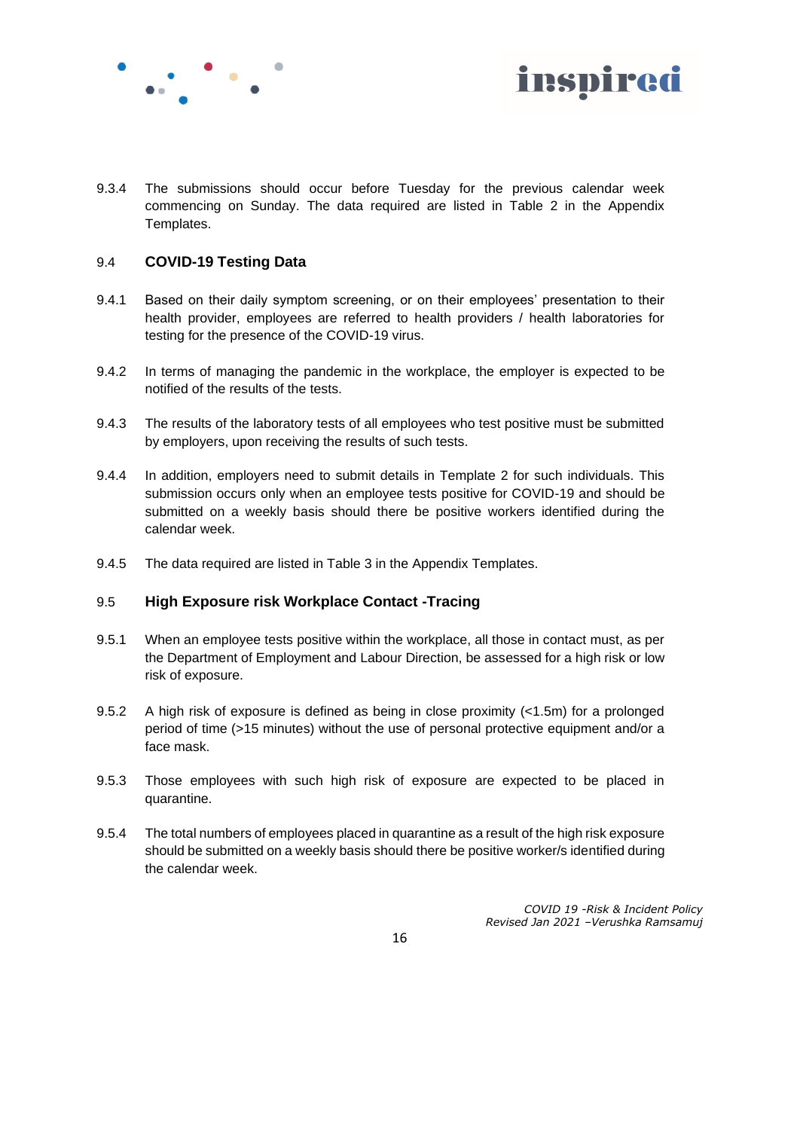



9.3.4 The submissions should occur before Tuesday for the previous calendar week commencing on Sunday. The data required are listed in Table 2 in the Appendix Templates.

#### 9.4 **COVID-19 Testing Data**

- 9.4.1 Based on their daily symptom screening, or on their employees' presentation to their health provider, employees are referred to health providers / health laboratories for testing for the presence of the COVID-19 virus.
- 9.4.2 In terms of managing the pandemic in the workplace, the employer is expected to be notified of the results of the tests.
- 9.4.3 The results of the laboratory tests of all employees who test positive must be submitted by employers, upon receiving the results of such tests.
- 9.4.4 In addition, employers need to submit details in Template 2 for such individuals. This submission occurs only when an employee tests positive for COVID-19 and should be submitted on a weekly basis should there be positive workers identified during the calendar week.
- 9.4.5 The data required are listed in Table 3 in the Appendix Templates.

#### 9.5 **High Exposure risk Workplace Contact -Tracing**

- 9.5.1 When an employee tests positive within the workplace, all those in contact must, as per the Department of Employment and Labour Direction, be assessed for a high risk or low risk of exposure.
- 9.5.2 A high risk of exposure is defined as being in close proximity (<1.5m) for a prolonged period of time (>15 minutes) without the use of personal protective equipment and/or a face mask.
- 9.5.3 Those employees with such high risk of exposure are expected to be placed in quarantine.
- 9.5.4 The total numbers of employees placed in quarantine as a result of the high risk exposure should be submitted on a weekly basis should there be positive worker/s identified during the calendar week.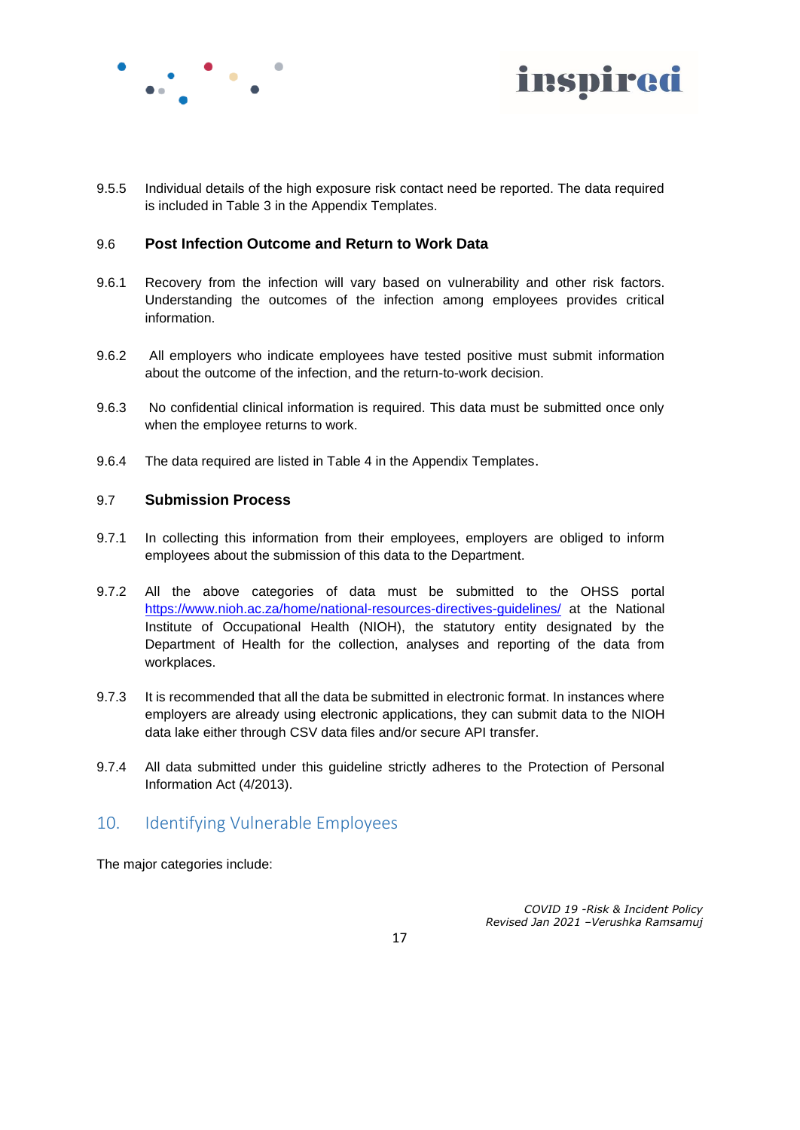



9.5.5 Individual details of the high exposure risk contact need be reported. The data required is included in Table 3 in the Appendix Templates.

#### 9.6 **Post Infection Outcome and Return to Work Data**

- 9.6.1 Recovery from the infection will vary based on vulnerability and other risk factors. Understanding the outcomes of the infection among employees provides critical information.
- 9.6.2 All employers who indicate employees have tested positive must submit information about the outcome of the infection, and the return-to-work decision.
- 9.6.3 No confidential clinical information is required. This data must be submitted once only when the employee returns to work.
- 9.6.4 The data required are listed in Table 4 in the Appendix Templates.

#### 9.7 **Submission Process**

- 9.7.1 In collecting this information from their employees, employers are obliged to inform employees about the submission of this data to the Department.
- 9.7.2 All the above categories of data must be submitted to the OHSS portal <https://www.nioh.ac.za/home/national-resources-directives-guidelines/> at the National Institute of Occupational Health (NIOH), the statutory entity designated by the Department of Health for the collection, analyses and reporting of the data from workplaces.
- 9.7.3 It is recommended that all the data be submitted in electronic format. In instances where employers are already using electronic applications, they can submit data to the NIOH data lake either through CSV data files and/or secure API transfer.
- 9.7.4 All data submitted under this guideline strictly adheres to the Protection of Personal Information Act (4/2013).

## 10. Identifying Vulnerable Employees

The major categories include: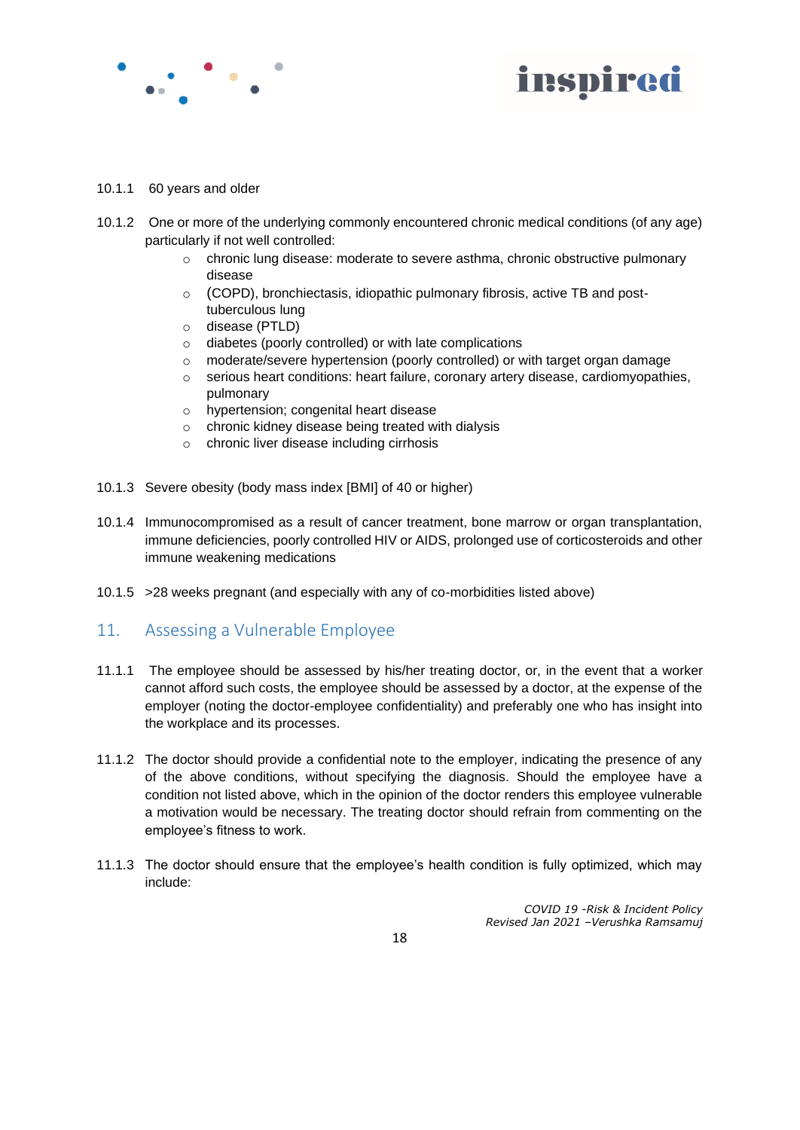



#### 10.1.1 60 years and older

- 10.1.2 One or more of the underlying commonly encountered chronic medical conditions (of any age) particularly if not well controlled:
	- o chronic lung disease: moderate to severe asthma, chronic obstructive pulmonary disease
	- o (COPD), bronchiectasis, idiopathic pulmonary fibrosis, active TB and posttuberculous lung
	- o disease (PTLD)
	- o diabetes (poorly controlled) or with late complications
	- o moderate/severe hypertension (poorly controlled) or with target organ damage
	- o serious heart conditions: heart failure, coronary artery disease, cardiomyopathies, pulmonary
	- o hypertension; congenital heart disease
	- o chronic kidney disease being treated with dialysis
	- o chronic liver disease including cirrhosis
- 10.1.3 Severe obesity (body mass index [BMI] of 40 or higher)
- 10.1.4 Immunocompromised as a result of cancer treatment, bone marrow or organ transplantation, immune deficiencies, poorly controlled HIV or AIDS, prolonged use of corticosteroids and other immune weakening medications
- 10.1.5 >28 weeks pregnant (and especially with any of co-morbidities listed above)

## 11. Assessing a Vulnerable Employee

- 11.1.1 The employee should be assessed by his/her treating doctor, or, in the event that a worker cannot afford such costs, the employee should be assessed by a doctor, at the expense of the employer (noting the doctor-employee confidentiality) and preferably one who has insight into the workplace and its processes.
- 11.1.2 The doctor should provide a confidential note to the employer, indicating the presence of any of the above conditions, without specifying the diagnosis. Should the employee have a condition not listed above, which in the opinion of the doctor renders this employee vulnerable a motivation would be necessary. The treating doctor should refrain from commenting on the employee's fitness to work.
- 11.1.3 The doctor should ensure that the employee's health condition is fully optimized, which may include: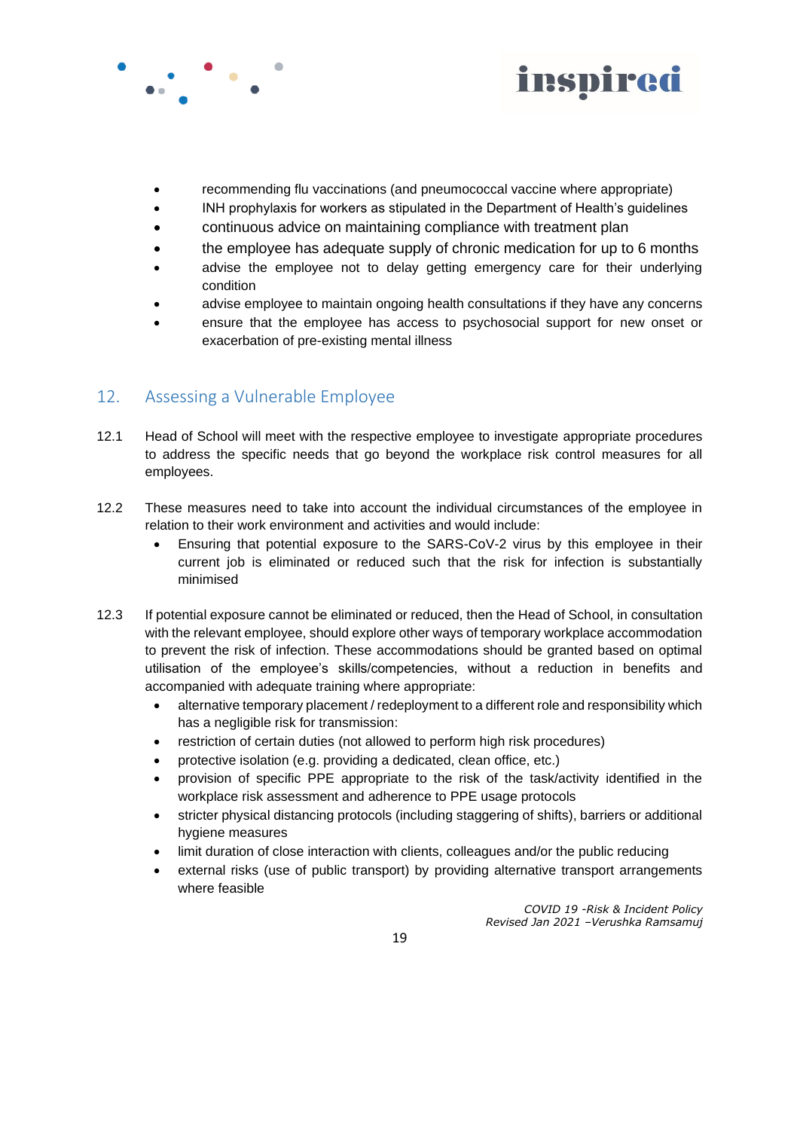



- recommending flu vaccinations (and pneumococcal vaccine where appropriate)
- INH prophylaxis for workers as stipulated in the Department of Health's guidelines
- continuous advice on maintaining compliance with treatment plan
- the employee has adequate supply of chronic medication for up to 6 months
- advise the employee not to delay getting emergency care for their underlying condition
- advise employee to maintain ongoing health consultations if they have any concerns
- ensure that the employee has access to psychosocial support for new onset or exacerbation of pre-existing mental illness

## 12. Assessing a Vulnerable Employee

- 12.1 Head of School will meet with the respective employee to investigate appropriate procedures to address the specific needs that go beyond the workplace risk control measures for all employees.
- 12.2 These measures need to take into account the individual circumstances of the employee in relation to their work environment and activities and would include:
	- Ensuring that potential exposure to the SARS-CoV-2 virus by this employee in their current job is eliminated or reduced such that the risk for infection is substantially minimised
- 12.3 If potential exposure cannot be eliminated or reduced, then the Head of School, in consultation with the relevant employee, should explore other ways of temporary workplace accommodation to prevent the risk of infection. These accommodations should be granted based on optimal utilisation of the employee's skills/competencies, without a reduction in benefits and accompanied with adequate training where appropriate:
	- alternative temporary placement / redeployment to a different role and responsibility which has a negligible risk for transmission:
	- restriction of certain duties (not allowed to perform high risk procedures)
	- protective isolation (e.g. providing a dedicated, clean office, etc.)
	- provision of specific PPE appropriate to the risk of the task/activity identified in the workplace risk assessment and adherence to PPE usage protocols
	- stricter physical distancing protocols (including staggering of shifts), barriers or additional hygiene measures
	- limit duration of close interaction with clients, colleagues and/or the public reducing
	- external risks (use of public transport) by providing alternative transport arrangements where feasible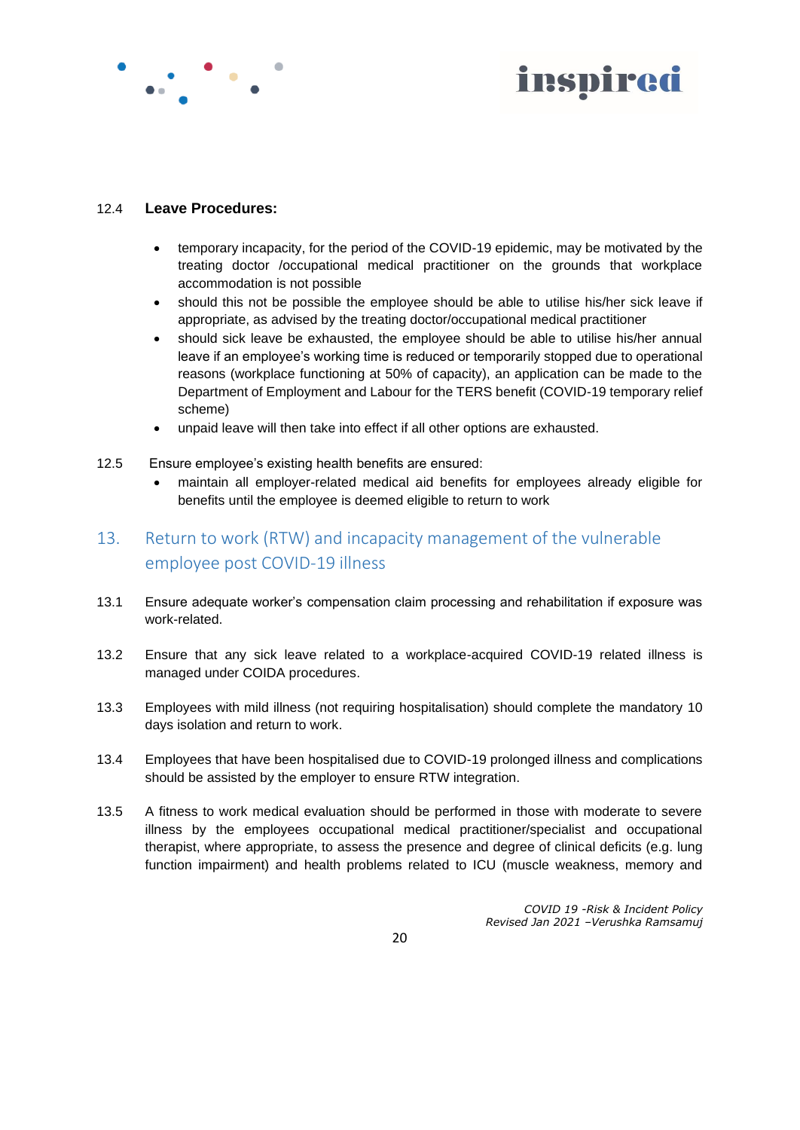

# inspired

#### 12.4 **Leave Procedures:**

- temporary incapacity, for the period of the COVID-19 epidemic, may be motivated by the treating doctor /occupational medical practitioner on the grounds that workplace accommodation is not possible
- should this not be possible the employee should be able to utilise his/her sick leave if appropriate, as advised by the treating doctor/occupational medical practitioner
- should sick leave be exhausted, the employee should be able to utilise his/her annual leave if an employee's working time is reduced or temporarily stopped due to operational reasons (workplace functioning at 50% of capacity), an application can be made to the Department of Employment and Labour for the TERS benefit (COVID-19 temporary relief scheme)
- unpaid leave will then take into effect if all other options are exhausted.
- 12.5 Ensure employee's existing health benefits are ensured:
	- maintain all employer-related medical aid benefits for employees already eligible for benefits until the employee is deemed eligible to return to work
- 13. Return to work (RTW) and incapacity management of the vulnerable employee post COVID-19 illness
- 13.1 Ensure adequate worker's compensation claim processing and rehabilitation if exposure was work-related.
- 13.2 Ensure that any sick leave related to a workplace-acquired COVID-19 related illness is managed under COIDA procedures.
- 13.3 Employees with mild illness (not requiring hospitalisation) should complete the mandatory 10 days isolation and return to work.
- 13.4 Employees that have been hospitalised due to COVID-19 prolonged illness and complications should be assisted by the employer to ensure RTW integration.
- 13.5 A fitness to work medical evaluation should be performed in those with moderate to severe illness by the employees occupational medical practitioner/specialist and occupational therapist, where appropriate, to assess the presence and degree of clinical deficits (e.g. lung function impairment) and health problems related to ICU (muscle weakness, memory and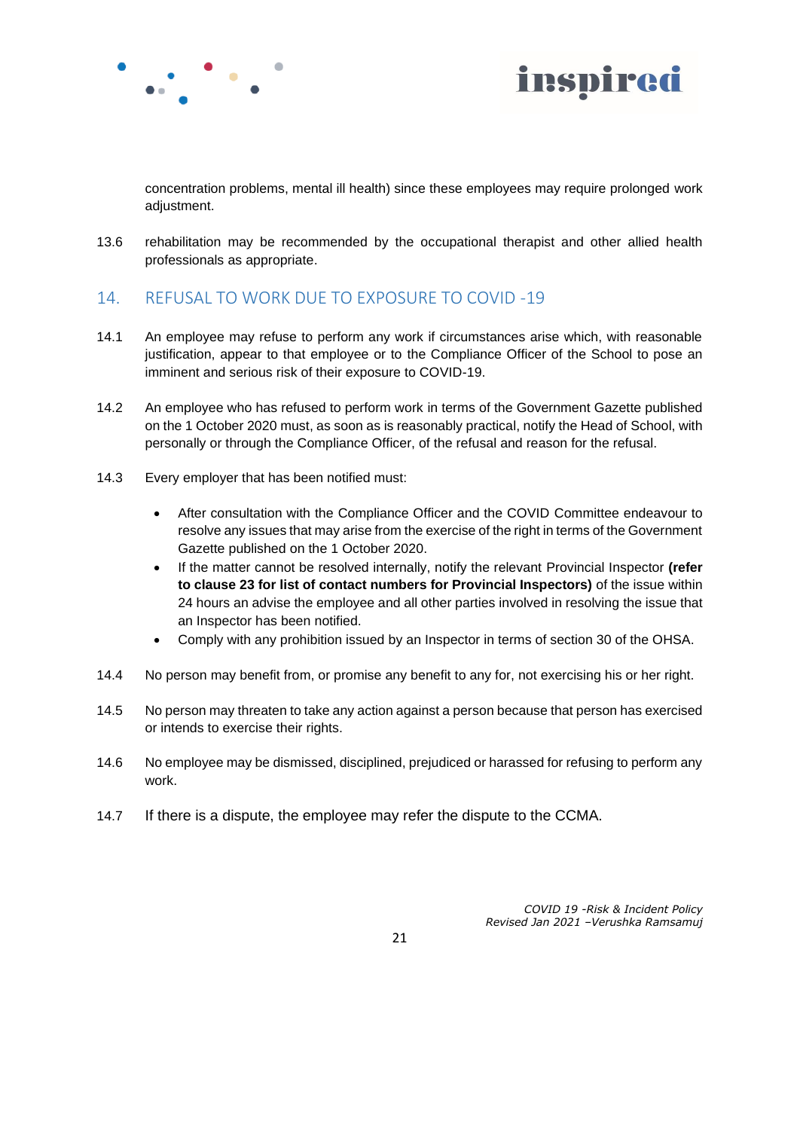



concentration problems, mental ill health) since these employees may require prolonged work adjustment.

13.6 rehabilitation may be recommended by the occupational therapist and other allied health professionals as appropriate.

## 14. REFUSAL TO WORK DUE TO EXPOSURE TO COVID -19

- 14.1 An employee may refuse to perform any work if circumstances arise which, with reasonable justification, appear to that employee or to the Compliance Officer of the School to pose an imminent and serious risk of their exposure to COVID-19.
- 14.2 An employee who has refused to perform work in terms of the Government Gazette published on the 1 October 2020 must, as soon as is reasonably practical, notify the Head of School, with personally or through the Compliance Officer, of the refusal and reason for the refusal.
- 14.3 Every employer that has been notified must:
	- After consultation with the Compliance Officer and the COVID Committee endeavour to resolve any issues that may arise from the exercise of the right in terms of the Government Gazette published on the 1 October 2020.
	- If the matter cannot be resolved internally, notify the relevant Provincial Inspector **(refer to clause 23 for list of contact numbers for Provincial Inspectors)** of the issue within 24 hours an advise the employee and all other parties involved in resolving the issue that an Inspector has been notified.
	- Comply with any prohibition issued by an Inspector in terms of section 30 of the OHSA.
- 14.4 No person may benefit from, or promise any benefit to any for, not exercising his or her right.
- 14.5 No person may threaten to take any action against a person because that person has exercised or intends to exercise their rights.
- 14.6 No employee may be dismissed, disciplined, prejudiced or harassed for refusing to perform any work.
- 14.7 If there is a dispute, the employee may refer the dispute to the CCMA.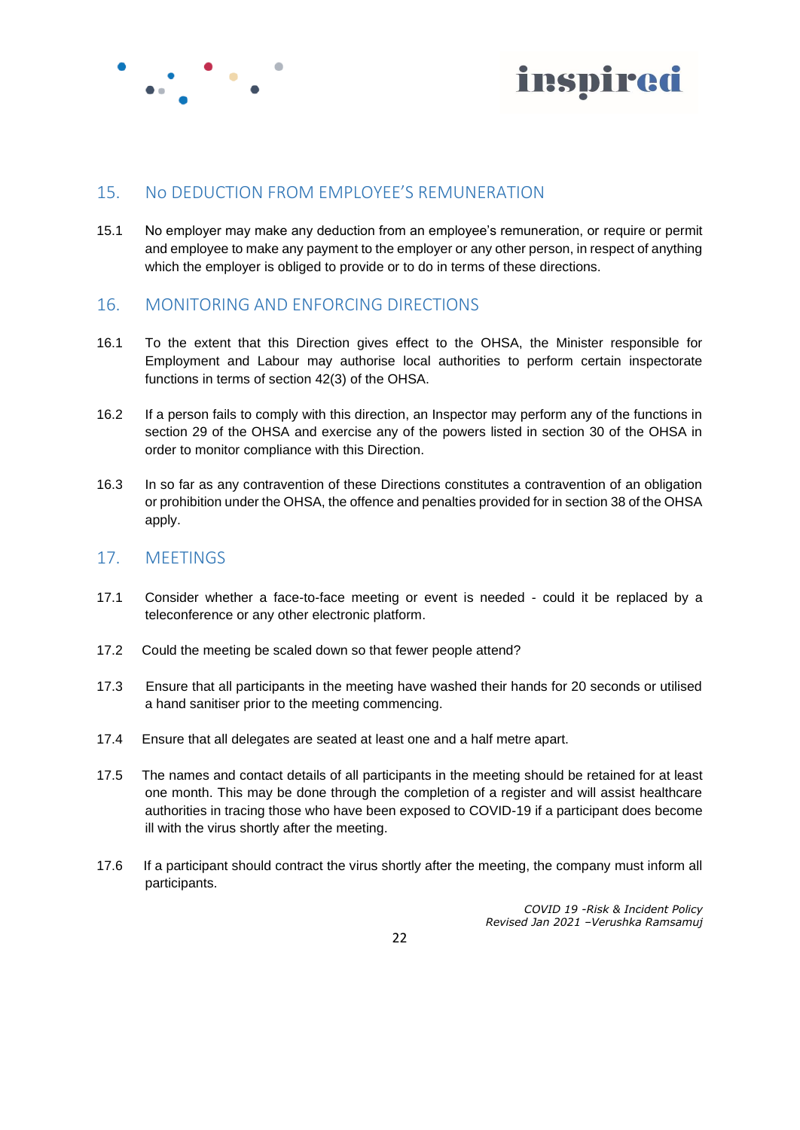



## 15. No DEDUCTION FROM EMPLOYEE'S REMUNERATION

15.1 No employer may make any deduction from an employee's remuneration, or require or permit and employee to make any payment to the employer or any other person, in respect of anything which the employer is obliged to provide or to do in terms of these directions.

## 16. MONITORING AND ENFORCING DIRECTIONS

- 16.1 To the extent that this Direction gives effect to the OHSA, the Minister responsible for Employment and Labour may authorise local authorities to perform certain inspectorate functions in terms of section 42(3) of the OHSA.
- 16.2 If a person fails to comply with this direction, an Inspector may perform any of the functions in section 29 of the OHSA and exercise any of the powers listed in section 30 of the OHSA in order to monitor compliance with this Direction.
- 16.3 In so far as any contravention of these Directions constitutes a contravention of an obligation or prohibition under the OHSA, the offence and penalties provided for in section 38 of the OHSA apply.

## 17. MEETINGS

- 17.1 Consider whether a face-to-face meeting or event is needed could it be replaced by a teleconference or any other electronic platform.
- 17.2 Could the meeting be scaled down so that fewer people attend?
- 17.3 Ensure that all participants in the meeting have washed their hands for 20 seconds or utilised a hand sanitiser prior to the meeting commencing.
- 17.4 Ensure that all delegates are seated at least one and a half metre apart.
- 17.5 The names and contact details of all participants in the meeting should be retained for at least one month. This may be done through the completion of a register and will assist healthcare authorities in tracing those who have been exposed to COVID-19 if a participant does become ill with the virus shortly after the meeting.
- 17.6 If a participant should contract the virus shortly after the meeting, the company must inform all participants.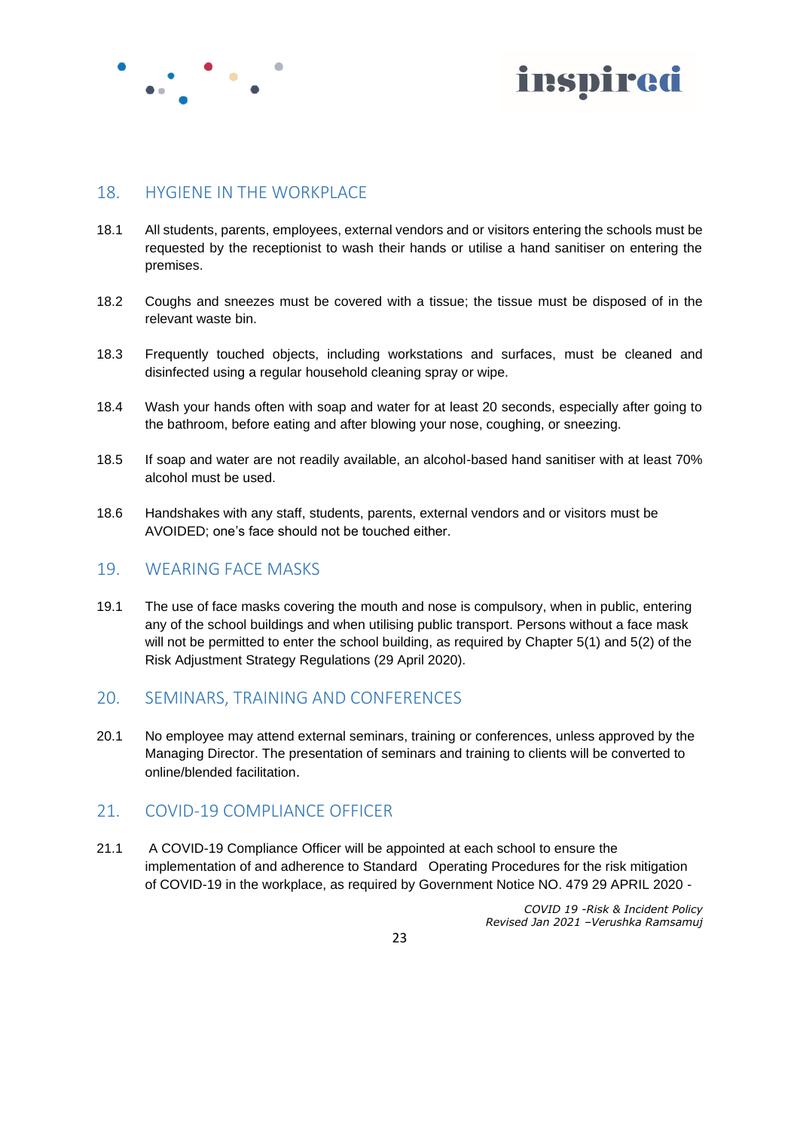



## 18. HYGIENE IN THE WORKPLACE

- 18.1 All students, parents, employees, external vendors and or visitors entering the schools must be requested by the receptionist to wash their hands or utilise a hand sanitiser on entering the premises.
- 18.2 Coughs and sneezes must be covered with a tissue; the tissue must be disposed of in the relevant waste bin.
- 18.3 Frequently touched objects, including workstations and surfaces, must be cleaned and disinfected using a regular household cleaning spray or wipe.
- 18.4 Wash your hands often with soap and water for at least 20 seconds, especially after going to the bathroom, before eating and after blowing your nose, coughing, or sneezing.
- 18.5 If soap and water are not readily available, an alcohol-based hand sanitiser with at least 70% alcohol must be used.
- 18.6 Handshakes with any staff, students, parents, external vendors and or visitors must be AVOIDED; one's face should not be touched either.

## 19. WEARING FACE MASKS

19.1 The use of face masks covering the mouth and nose is compulsory, when in public, entering any of the school buildings and when utilising public transport. Persons without a face mask will not be permitted to enter the school building, as required by Chapter 5(1) and 5(2) of the Risk Adjustment Strategy Regulations (29 April 2020).

## 20. SEMINARS, TRAINING AND CONFERENCES

20.1 No employee may attend external seminars, training or conferences, unless approved by the Managing Director. The presentation of seminars and training to clients will be converted to online/blended facilitation.

#### 21. COVID-19 COMPLIANCE OFFICER

21.1 A COVID-19 Compliance Officer will be appointed at each school to ensure the implementation of and adherence to Standard Operating Procedures for the risk mitigation of COVID-19 in the workplace, as required by Government Notice NO. 479 29 APRIL 2020 -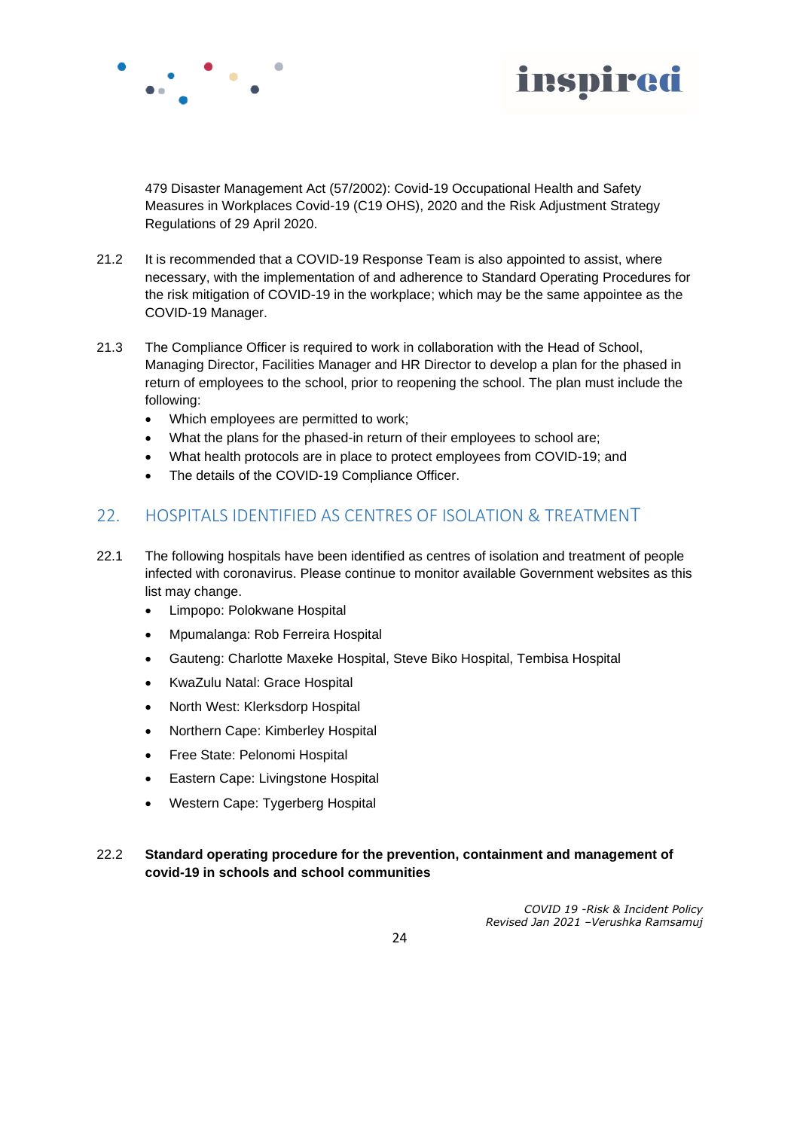



479 Disaster Management Act (57/2002): Covid-19 Occupational Health and Safety Measures in Workplaces Covid-19 (C19 OHS), 2020 and the Risk Adjustment Strategy Regulations of 29 April 2020.

- 21.2 It is recommended that a COVID-19 Response Team is also appointed to assist, where necessary, with the implementation of and adherence to Standard Operating Procedures for the risk mitigation of COVID-19 in the workplace; which may be the same appointee as the COVID-19 Manager.
- 21.3 The Compliance Officer is required to work in collaboration with the Head of School, Managing Director, Facilities Manager and HR Director to develop a plan for the phased in return of employees to the school, prior to reopening the school. The plan must include the following:
	- Which employees are permitted to work;
	- What the plans for the phased-in return of their employees to school are;
	- What health protocols are in place to protect employees from COVID-19; and
	- The details of the COVID-19 Compliance Officer.

## 22. HOSPITALS IDENTIFIED AS CENTRES OF ISOLATION & TREATMENT

- 22.1 The following hospitals have been identified as centres of isolation and treatment of people infected with coronavirus. Please continue to monitor available Government websites as this list may change.
	- Limpopo: Polokwane Hospital
	- Mpumalanga: Rob Ferreira Hospital
	- Gauteng: Charlotte Maxeke Hospital, Steve Biko Hospital, Tembisa Hospital
	- KwaZulu Natal: Grace Hospital
	- North West: Klerksdorp Hospital
	- Northern Cape: Kimberley Hospital
	- Free State: Pelonomi Hospital
	- Eastern Cape: Livingstone Hospital
	- Western Cape: Tygerberg Hospital

#### 22.2 **Standard operating procedure for the prevention, containment and management of covid-19 in schools and school communities**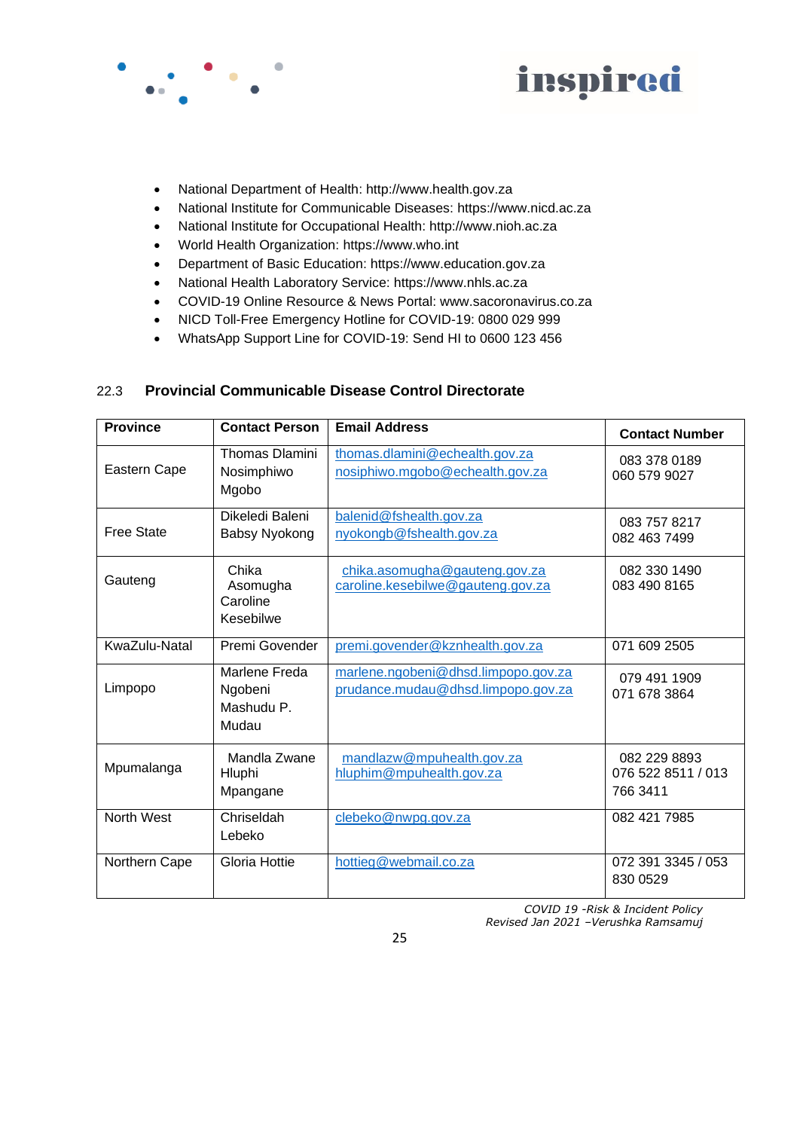



- National Department of Health: http://www.health.gov.za
- National Institute for Communicable Diseases: https://www.nicd.ac.za
- National Institute for Occupational Health: http://www.nioh.ac.za
- World Health Organization: https://www.who.int
- Department of Basic Education: https://www.education.gov.za
- National Health Laboratory Service: https://www.nhls.ac.za
- COVID-19 Online Resource & News Portal: www.sacoronavirus.co.za
- NICD Toll-Free Emergency Hotline for COVID-19: 0800 029 999
- WhatsApp Support Line for COVID-19: Send HI to 0600 123 456

#### 22.3 **Provincial Communicable Disease Control Directorate**

| <b>Province</b>   | <b>Contact Person</b>                           | <b>Email Address</b>                                                      | <b>Contact Number</b>                          |
|-------------------|-------------------------------------------------|---------------------------------------------------------------------------|------------------------------------------------|
| Eastern Cape      | <b>Thomas Dlamini</b><br>Nosimphiwo<br>Mgobo    | thomas.dlamini@echealth.gov.za<br>nosiphiwo.mgobo@echealth.gov.za         | 083 378 0189<br>060 579 9027                   |
| <b>Free State</b> | Dikeledi Baleni<br>Babsy Nyokong                | balenid@fshealth.gov.za<br>nyokongb@fshealth.gov.za                       | 083 757 8217<br>082 463 7499                   |
| Gauteng           | Chika<br>Asomugha<br>Caroline<br>Kesebilwe      | chika.asomugha@gauteng.gov.za<br>caroline.kesebilwe@gauteng.gov.za        | 082 330 1490<br>083 490 8165                   |
| KwaZulu-Natal     | Premi Govender                                  | premi.govender@kznhealth.gov.za                                           | 071 609 2505                                   |
| Limpopo           | Marlene Freda<br>Ngobeni<br>Mashudu P.<br>Mudau | marlene.ngobeni@dhsd.limpopo.gov.za<br>prudance.mudau@dhsd.limpopo.gov.za | 079 491 1909<br>071 678 3864                   |
| Mpumalanga        | Mandla Zwane<br>Hluphi<br>Mpangane              | mandlazw@mpuhealth.gov.za<br>hluphim@mpuhealth.gov.za                     | 082 229 8893<br>076 522 8511 / 013<br>766 3411 |
| North West        | Chriseldah<br>Lebeko                            | clebeko@nwpg.gov.za                                                       | 082 421 7985                                   |
| Northern Cape     | Gloria Hottie                                   | hottieg@webmail.co.za                                                     | 072 391 3345 / 053<br>830 0529                 |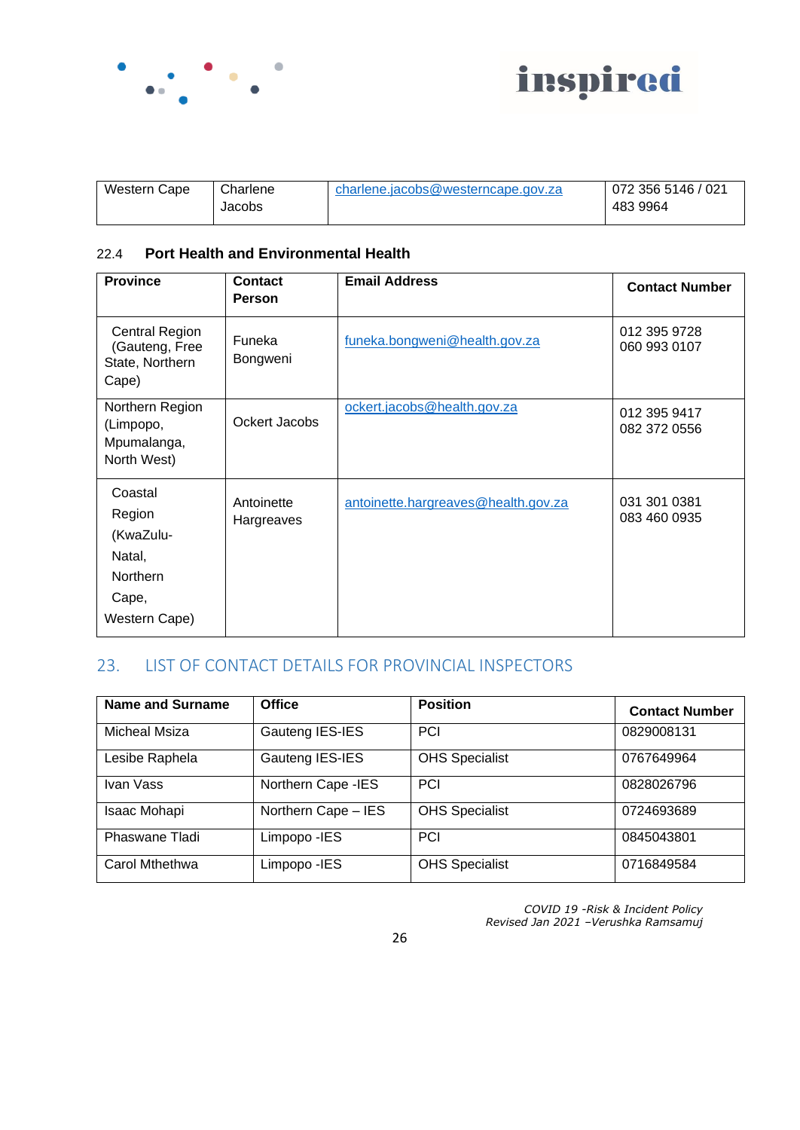



| Western Cape | Charlene | charlene.jacobs@westerncape.gov.za | 072 356 5146 / 021 |
|--------------|----------|------------------------------------|--------------------|
|              | Jacobs   |                                    | 483 9964           |

## 22.4 **Port Health and Environmental Health**

| <b>Province</b>                                                                       | <b>Contact</b><br>Person | <b>Email Address</b>                | <b>Contact Number</b>        |
|---------------------------------------------------------------------------------------|--------------------------|-------------------------------------|------------------------------|
| <b>Central Region</b><br>(Gauteng, Free<br>State, Northern<br>Cape)                   | Funeka<br>Bongweni       | funeka.bongweni@health.gov.za       | 012 395 9728<br>060 993 0107 |
| Northern Region<br>(Limpopo,<br>Mpumalanga,<br>North West)                            | Ockert Jacobs            | ockert.jacobs@health.gov.za         | 012 395 9417<br>082 372 0556 |
| Coastal<br>Region<br>(KwaZulu-<br>Natal,<br><b>Northern</b><br>Cape,<br>Western Cape) | Antoinette<br>Hargreaves | antoinette.hargreaves@health.gov.za | 031 301 0381<br>083 460 0935 |

# 23. LIST OF CONTACT DETAILS FOR PROVINCIAL INSPECTORS

| <b>Name and Surname</b> | <b>Office</b>       | <b>Position</b>       | <b>Contact Number</b> |
|-------------------------|---------------------|-----------------------|-----------------------|
| Micheal Msiza           | Gauteng IES-IES     | <b>PCI</b>            | 0829008131            |
| Lesibe Raphela          | Gauteng IES-IES     | <b>OHS Specialist</b> | 0767649964            |
| Ivan Vass               | Northern Cape - IES | <b>PCI</b>            | 0828026796            |
| Isaac Mohapi            | Northern Cape - IES | <b>OHS Specialist</b> | 0724693689            |
| Phaswane Tladi          | Limpopo - IES       | <b>PCI</b>            | 0845043801            |
| Carol Mthethwa          | Limpopo - IES       | <b>OHS Specialist</b> | 0716849584            |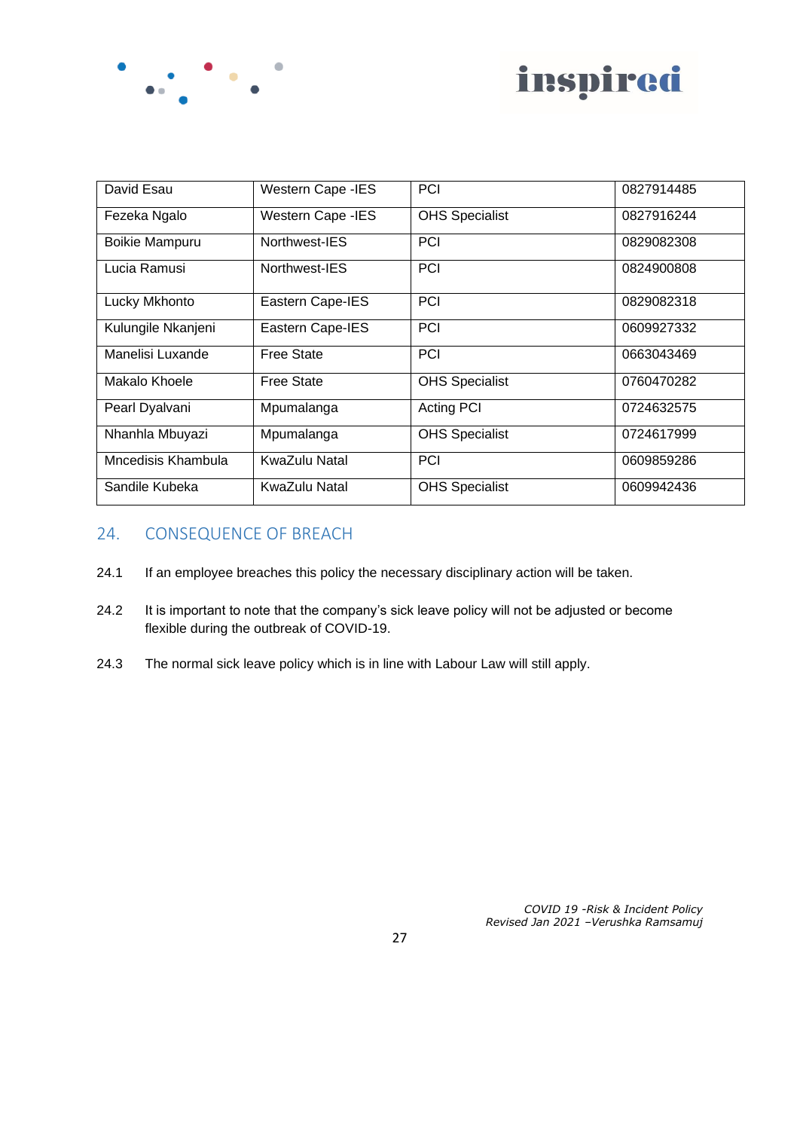



| David Esau            | <b>Western Cape -IES</b> | <b>PCI</b>            | 0827914485 |
|-----------------------|--------------------------|-----------------------|------------|
| Fezeka Ngalo          | <b>Western Cape -IES</b> | <b>OHS Specialist</b> | 0827916244 |
| <b>Boikie Mampuru</b> | Northwest-IES            | <b>PCI</b>            | 0829082308 |
| Lucia Ramusi          | Northwest-IES            | <b>PCI</b>            | 0824900808 |
| Lucky Mkhonto         | Eastern Cape-IES         | <b>PCI</b>            | 0829082318 |
| Kulungile Nkanjeni    | Eastern Cape-IES         | <b>PCI</b>            | 0609927332 |
| Manelisi Luxande      | <b>Free State</b>        | <b>PCI</b>            | 0663043469 |
| Makalo Khoele         | <b>Free State</b>        | <b>OHS Specialist</b> | 0760470282 |
| Pearl Dyalvani        | Mpumalanga               | <b>Acting PCI</b>     | 0724632575 |
| Nhanhla Mbuyazi       | Mpumalanga               | <b>OHS Specialist</b> | 0724617999 |
| Mncedisis Khambula    | KwaZulu Natal            | PCI                   | 0609859286 |
| Sandile Kubeka        | KwaZulu Natal            | <b>OHS Specialist</b> | 0609942436 |

## 24. CONSEQUENCE OF BREACH

- 24.1 If an employee breaches this policy the necessary disciplinary action will be taken.
- 24.2 It is important to note that the company's sick leave policy will not be adjusted or become flexible during the outbreak of COVID-19.
- 24.3 The normal sick leave policy which is in line with Labour Law will still apply.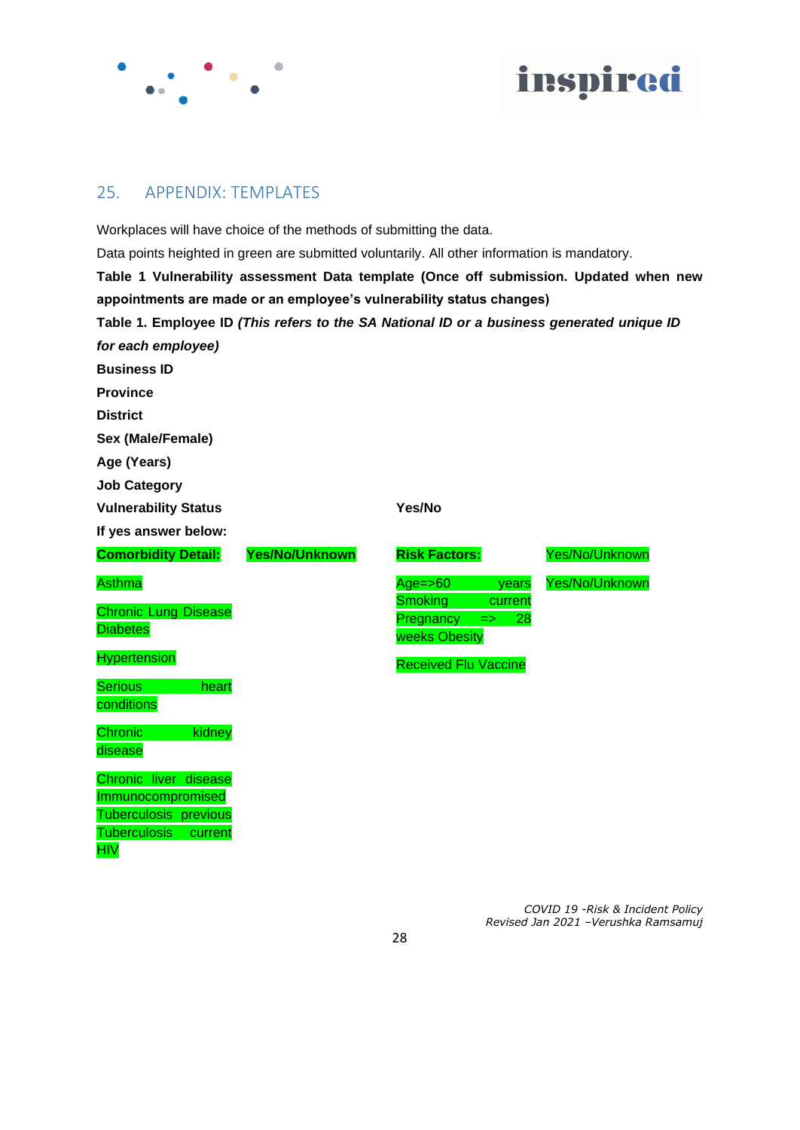



## 25. APPENDIX: TEMPLATES

Workplaces will have choice of the methods of submitting the data. Data points heighted in green are submitted voluntarily. All other information is mandatory. **Table 1 Vulnerability assessment Data template (Once off submission. Updated when new appointments are made or an employee's vulnerability status changes) Table 1. Employee ID** *(This refers to the SA National ID or a business generated unique ID for each employee)* **Business ID Province District Sex (Male/Female) Age (Years) Job Category Vulnerability Status 7 and 7 and 7 and 7 and 7 and 7 and 7 and 7 and 7 and 7 and 7 and 7 and 7 and 7 and 7 and 7 and 7 and 7 and 7 and 7 and 7 and 7 and 7 and 7 and 7 and 7 and 7 and 7 and 7 and 7 and 7 and 7 and 7 and 7 If yes answer below: Comorbidity Detail: Asthma** Chronic Lung Disease **Diabetes Hypertension** Serious heart **conditions** Chronic kidney disease Chronic liver disease Immunocompromised Tuberculosis previous Tuberculosis current **HIV Yes/No/Unknown Risk Factors:** Age=>60 years Smoking current Pregnancy => 28 weeks Obesity Received Flu Vaccine Yes/No/Unknown Yes/No/Unknown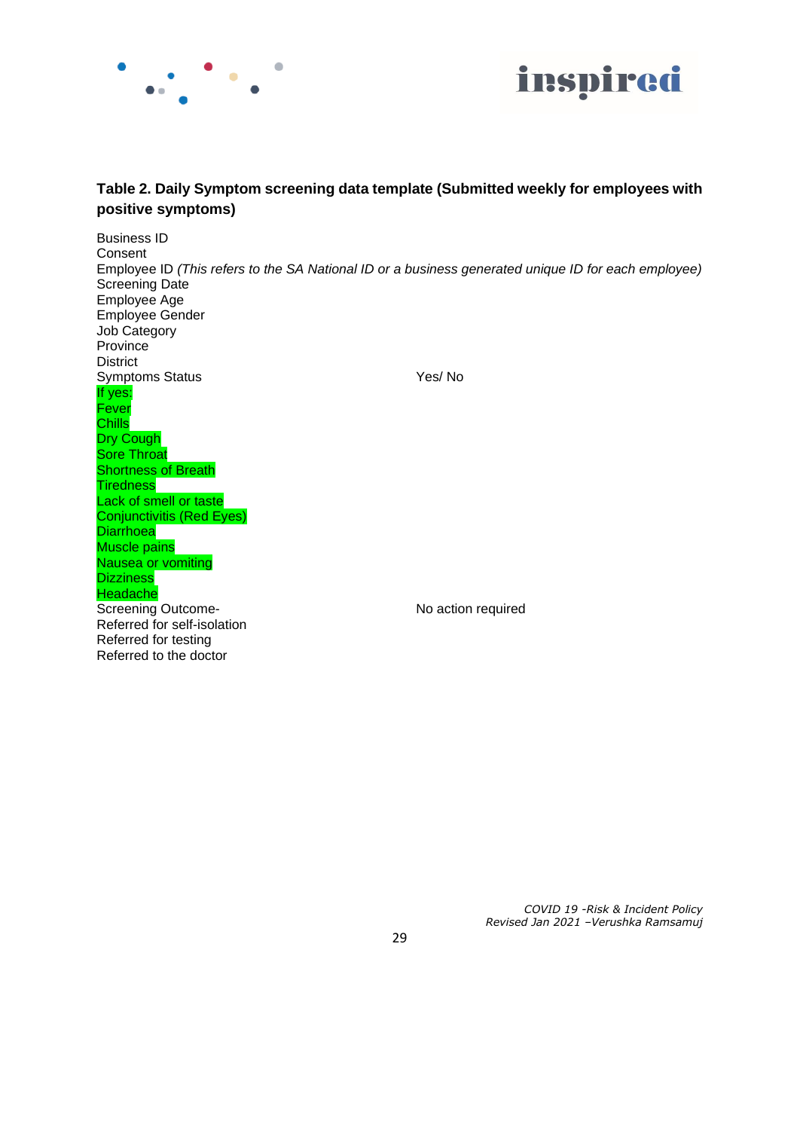



## **Table 2. Daily Symptom screening data template (Submitted weekly for employees with positive symptoms)**

Business ID Consent Employee ID *(This refers to the SA National ID or a business generated unique ID for each employee)*  Screening Date Employee Age Employee Gender Job Category Province **District** Symptoms Status Yes/ No If yes: Fever **Chills** Dry Cough Sore Throat Shortness of Breath **Tiredness** Lack of smell or taste Conjunctivitis (Red Eyes) **Diarrhoea** Muscle pains Nausea or vomiting **Dizziness Headache** Screening Outcome-<br>
No action required Referred for self-isolation Referred for testing Referred to the doctor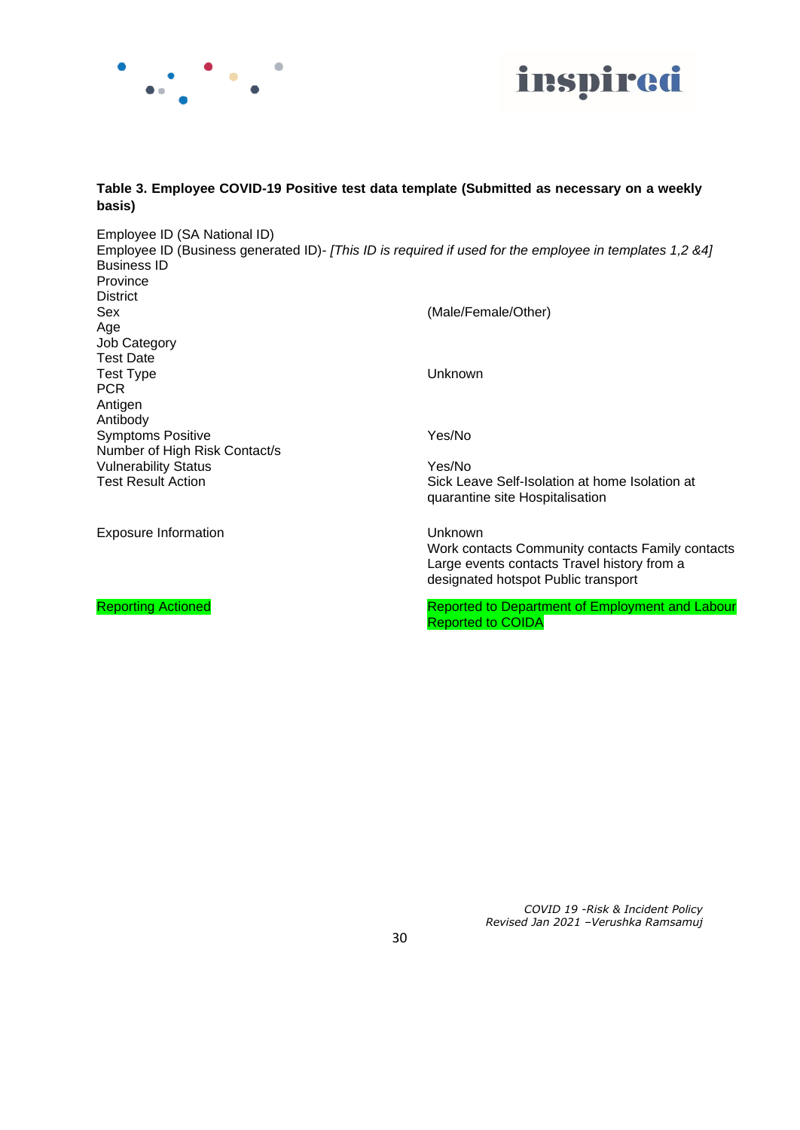



#### **Table 3. Employee COVID-19 Positive test data template (Submitted as necessary on a weekly basis)**

Employee ID (SA National ID) Employee ID (Business generated ID)- *[This ID is required if used for the employee in templates 1,2 &4]*  Business ID Province **District** Sex (Male/Female/Other) Age Job Category Test Date Test Type Unknown **PCR** Antigen Antibody Symptoms Positive The Contract of the Yes/No Number of High Risk Contact/s Vulnerability Status **Yes/No** Test Result Action **Sick Leave Self-Isolation at home Isolation at** Sick Leave Self-Isolation at home Isolation at quarantine site Hospitalisation Exposure Information **Exposure Information Unknown** Work contacts Community contacts Family contacts

Large events contacts Travel history from a designated hotspot Public transport

Reporting Actioned **Reported to Department of Employment and Labour** Reported to COIDA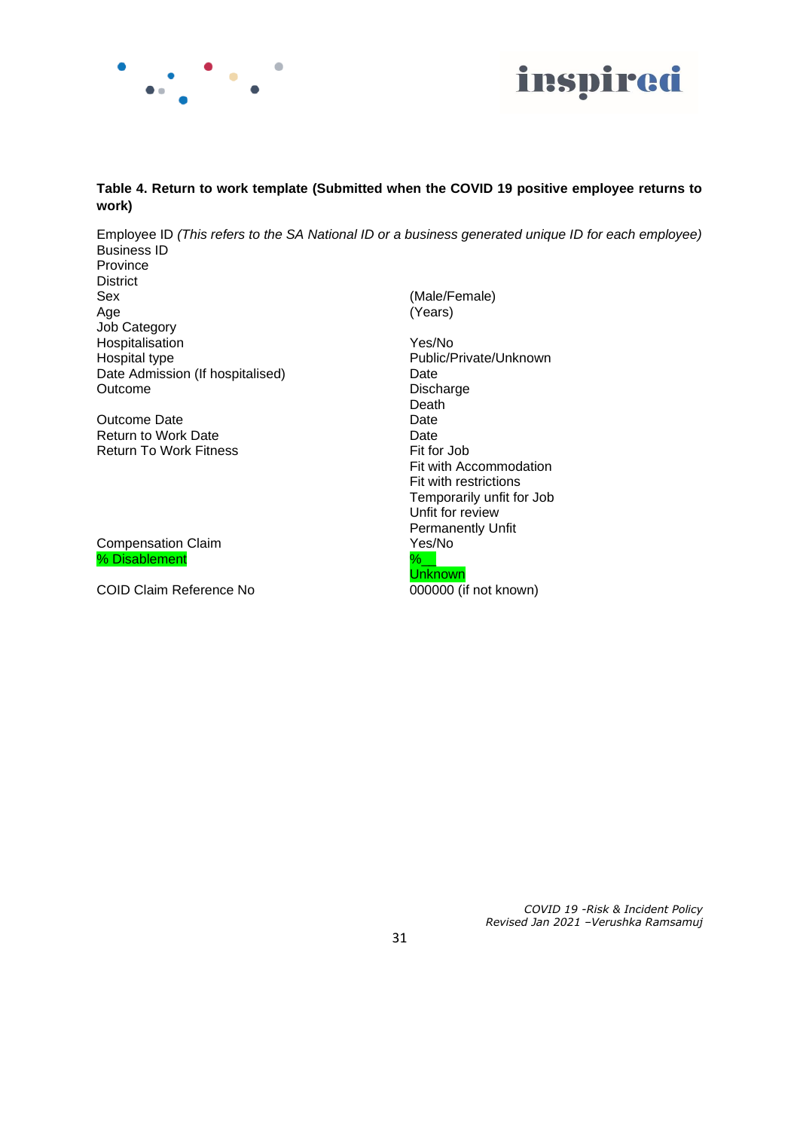



#### **Table 4. Return to work template (Submitted when the COVID 19 positive employee returns to work)**

Employee ID *(This refers to the SA National ID or a business generated unique ID for each employee)*  Business ID Province District Sex (Male/Female)

Age (Years) Job Category Hospitalisation Yes/No Hospital type **Public/Private/Unknown** Date Admission (If hospitalised) Date Dutcome Disch

Outcome Date<br>
Return to Work Date<br>
Date Return to Work Date<br>
Return To Work Fitness<br>
Return To Work Fitness<br>
Date Date Date Date Date Pit for Job Return To Work Fitness

Compensation Claim % Disablement %  $\frac{9}{6}$ 

COID Claim Reference No 000000 (if not known)

Discharge Death Fit with Accommodation Fit with restrictions Temporarily unfit for Job Unfit for review Permanently Unfit<br>Yes/No **Unknown**